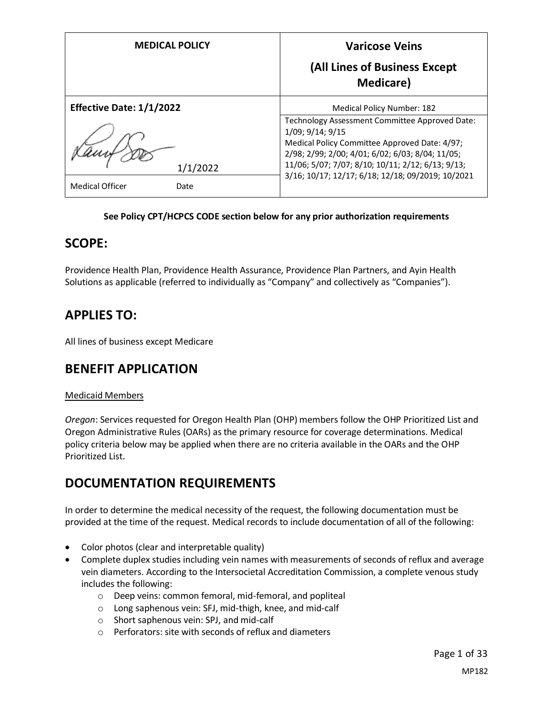| <b>MEDICAL POLICY</b>           | <b>Varicose Veins</b><br>(All Lines of Business Except                                                                                                                                                                                                                            |  |  |  |
|---------------------------------|-----------------------------------------------------------------------------------------------------------------------------------------------------------------------------------------------------------------------------------------------------------------------------------|--|--|--|
|                                 | <b>Medicare</b> )                                                                                                                                                                                                                                                                 |  |  |  |
| <b>Effective Date: 1/1/2022</b> | <b>Medical Policy Number: 182</b>                                                                                                                                                                                                                                                 |  |  |  |
| 1/1/2022                        | Technology Assessment Committee Approved Date:<br>1/09; 9/14; 9/15<br>Medical Policy Committee Approved Date: 4/97;<br>2/98; 2/99; 2/00; 4/01; 6/02; 6/03; 8/04; 11/05;<br>11/06; 5/07; 7/07; 8/10; 10/11; 2/12; 6/13; 9/13;<br>3/16; 10/17; 12/17; 6/18; 12/18; 09/2019; 10/2021 |  |  |  |
| <b>Medical Officer</b><br>Date  |                                                                                                                                                                                                                                                                                   |  |  |  |

#### **See Policy CPT/HCPCS CODE section below for any prior authorization requirements**

# **SCOPE:**

Providence Health Plan, Providence Health Assurance, Providence Plan Partners, and Ayin Health Solutions as applicable (referred to individually as "Company" and collectively as "Companies").

# **APPLIES TO:**

All lines of business except Medicare

# **BENEFIT APPLICATION**

### Medicaid Members

*Oregon*: Services requested for Oregon Health Plan (OHP) members follow the OHP Prioritized List and Oregon Administrative Rules (OARs) as the primary resource for coverage determinations. Medical policy criteria below may be applied when there are no criteria available in the OARs and the OHP Prioritized List.

# **DOCUMENTATION REQUIREMENTS**

In order to determine the medical necessity of the request, the following documentation must be provided at the time of the request. Medical records to include documentation of all of the following:

- Color photos (clear and interpretable quality)
- Complete duplex studies including vein names with measurements of seconds of reflux and average vein diameters. According to the Intersocietal Accreditation Commission, a complete venous study includes the following:
	- o Deep veins: common femoral, mid-femoral, and popliteal
	- o Long saphenous vein: SFJ, mid-thigh, knee, and mid-calf
	- o Short saphenous vein: SPJ, and mid-calf
	- o Perforators: site with seconds of reflux and diameters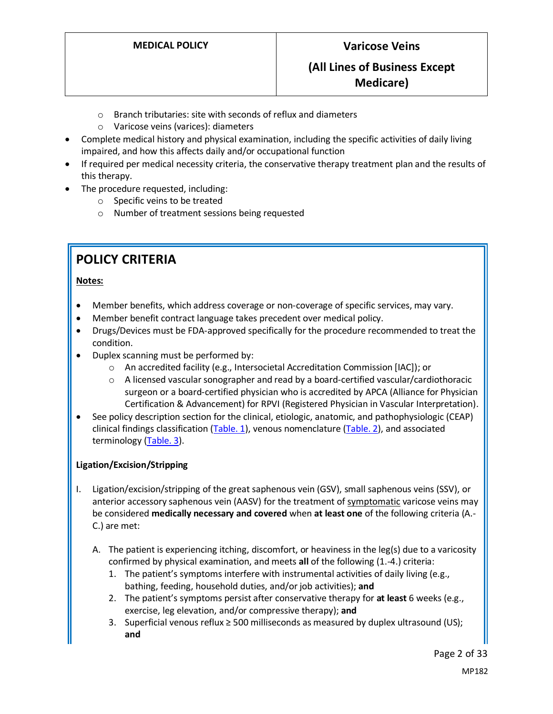- o Branch tributaries: site with seconds of reflux and diameters
- o Varicose veins (varices): diameters
- Complete medical history and physical examination, including the specific activities of daily living impaired, and how this affects daily and/or occupational function
- If required per medical necessity criteria, the conservative therapy treatment plan and the results of this therapy.
- The procedure requested, including:
	- o Specific veins to be treated
	- o Number of treatment sessions being requested

# **POLICY CRITERIA**

### **Notes:**

- Member benefits, which address coverage or non-coverage of specific services, may vary.
- Member benefit contract language takes precedent over medical policy.
- Drugs/Devices must be FDA-approved specifically for the procedure recommended to treat the condition.
- Duplex scanning must be performed by:
	- o An accredited facility (e.g., Intersocietal Accreditation Commission [IAC]); or
	- $\circ$  A licensed vascular sonographer and read by a board-certified vascular/cardiothoracic surgeon or a board-certified physician who is accredited by APCA (Alliance for Physician Certification & Advancement) for RPVI (Registered Physician in Vascular Interpretation).
- See policy description section for the clinical, etiologic, anatomic, and pathophysiologic (CEAP) clinical findings classification [\(Table. 1\)](#page-10-0), venous nomenclature [\(Table. 2\)](#page-26-0), and associated terminology [\(Table. 3\)](#page-26-0).

### **Ligation/Excision/Stripping**

- I. Ligation/excision/stripping of the great saphenous vein (GSV), small saphenous veins (SSV), or anterior accessory saphenous vein (AASV) for the treatment of symptomatic varicose veins may be considered **medically necessary and covered** when **at least one** of the following criteria (A.- C.) are met:
	- A. The patient is experiencing itching, discomfort, or heaviness in the leg(s) due to a varicosity confirmed by physical examination, and meets **all** of the following (1.-4.) criteria:
		- 1. The patient's symptoms interfere with instrumental activities of daily living (e.g., bathing, feeding, household duties, and/or job activities); **and**
		- 2. The patient's symptoms persist after conservative therapy for **at least** 6 weeks (e.g., exercise, leg elevation, and/or compressive therapy); **and**
		- 3. Superficial venous reflux ≥ 500 milliseconds as measured by duplex ultrasound (US); **and**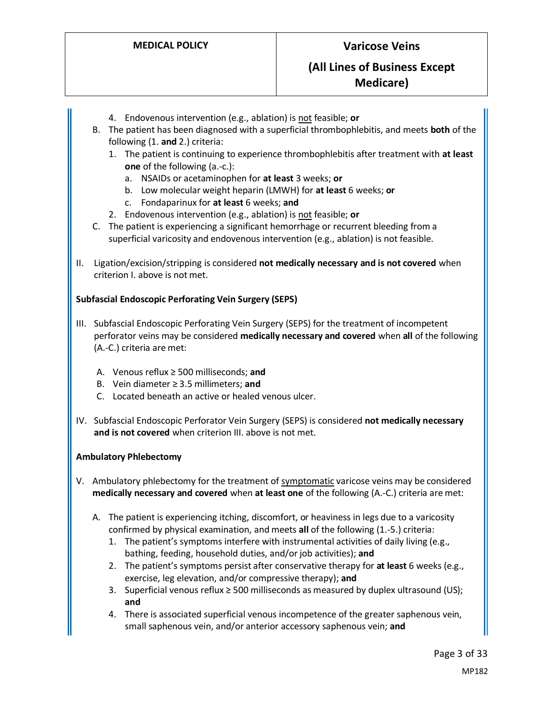- 4. Endovenous intervention (e.g., ablation) is not feasible; **or**
- B. The patient has been diagnosed with a superficial thrombophlebitis, and meets **both** of the following (1. **and** 2.) criteria:
	- 1. The patient is continuing to experience thrombophlebitis after treatment with **at least one** of the following (a.-c.):
		- a. NSAIDs or acetaminophen for **at least** 3 weeks; **or**
		- b. Low molecular weight heparin (LMWH) for **at least** 6 weeks; **or**
		- c. Fondaparinux for **at least** 6 weeks; **and**
	- 2. Endovenous intervention (e.g., ablation) is not feasible; **or**
- C. The patient is experiencing a significant hemorrhage or recurrent bleeding from a superficial varicosity and endovenous intervention (e.g., ablation) is not feasible.
- II. Ligation/excision/stripping is considered **not medically necessary and is not covered** when criterion I. above is not met.

#### **Subfascial Endoscopic Perforating Vein Surgery (SEPS)**

- III. Subfascial Endoscopic Perforating Vein Surgery (SEPS) for the treatment of incompetent perforator veins may be considered **medically necessary and covered** when **all** of the following (A.-C.) criteria are met:
	- A. Venous reflux ≥ 500 milliseconds; **and**
	- B. Vein diameter ≥ 3.5 millimeters; **and**
	- C. Located beneath an active or healed venous ulcer.
- IV. Subfascial Endoscopic Perforator Vein Surgery (SEPS) is considered **not medically necessary and is not covered** when criterion III. above is not met.

#### **Ambulatory Phlebectomy**

- V. Ambulatory phlebectomy for the treatment of symptomatic varicose veins may be considered **medically necessary and covered** when **at least one** of the following (A.-C.) criteria are met:
	- A. The patient is experiencing itching, discomfort, or heaviness in legs due to a varicosity confirmed by physical examination, and meets **all** of the following (1.-5.) criteria:
		- 1. The patient's symptoms interfere with instrumental activities of daily living (e.g., bathing, feeding, household duties, and/or job activities); **and**
		- 2. The patient's symptoms persist after conservative therapy for **at least** 6 weeks (e.g., exercise, leg elevation, and/or compressive therapy); **and**
		- 3. Superficial venous reflux ≥ 500 milliseconds as measured by duplex ultrasound (US); **and**
		- 4. There is associated superficial venous incompetence of the greater saphenous vein, small saphenous vein, and/or anterior accessory saphenous vein; **and**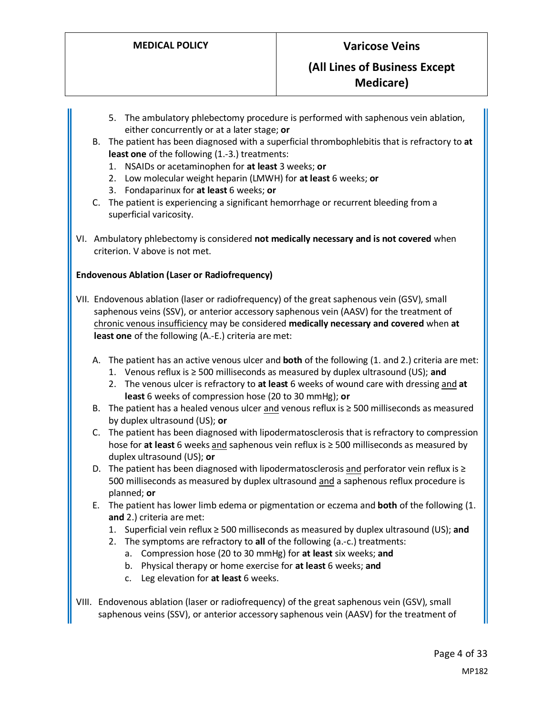- 5. The ambulatory phlebectomy procedure is performed with saphenous vein ablation, either concurrently or at a later stage; **or**
- B. The patient has been diagnosed with a superficial thrombophlebitis that is refractory to **at least one** of the following (1.-3.) treatments:
	- 1. NSAIDs or acetaminophen for **at least** 3 weeks; **or**
	- 2. Low molecular weight heparin (LMWH) for **at least** 6 weeks; **or**
	- 3. Fondaparinux for **at least** 6 weeks; **or**
- C. The patient is experiencing a significant hemorrhage or recurrent bleeding from a superficial varicosity.
- VI. Ambulatory phlebectomy is considered **not medically necessary and is not covered** when criterion. V above is not met.

#### **Endovenous Ablation (Laser or Radiofrequency)**

- VII. Endovenous ablation (laser or radiofrequency) of the great saphenous vein (GSV), small saphenous veins (SSV), or anterior accessory saphenous vein (AASV) for the treatment of chronic venous insufficiency may be considered **medically necessary and covered** when **at least one** of the following (A.-E.) criteria are met:
	- A. The patient has an active venous ulcer and **both** of the following (1. and 2.) criteria are met:
		- 1. Venous reflux is ≥ 500 milliseconds as measured by duplex ultrasound (US); **and**
		- 2. The venous ulcer is refractory to **at least** 6 weeks of wound care with dressing and **at least** 6 weeks of compression hose (20 to 30 mmHg); **or**
	- B. The patient has a healed venous ulcer and venous reflux is ≥ 500 milliseconds as measured by duplex ultrasound (US); **or**
	- C. The patient has been diagnosed with lipodermatosclerosis that is refractory to compression hose for **at least** 6 weeks and saphenous vein reflux is ≥ 500 milliseconds as measured by duplex ultrasound (US); **or**
	- D. The patient has been diagnosed with lipodermatosclerosis and perforator vein reflux is ≥ 500 milliseconds as measured by duplex ultrasound and a saphenous reflux procedure is planned; **or**
	- E. The patient has lower limb edema or pigmentation or eczema and **both** of the following (1. **and** 2.) criteria are met:
		- 1. Superficial vein reflux ≥ 500 milliseconds as measured by duplex ultrasound (US); **and**
		- 2. The symptoms are refractory to **all** of the following (a.-c.) treatments:
			- a. Compression hose (20 to 30 mmHg) for **at least** six weeks; **and**
			- b. Physical therapy or home exercise for **at least** 6 weeks; **and**
			- c. Leg elevation for **at least** 6 weeks.
- VIII. Endovenous ablation (laser or radiofrequency) of the great saphenous vein (GSV), small saphenous veins (SSV), or anterior accessory saphenous vein (AASV) for the treatment of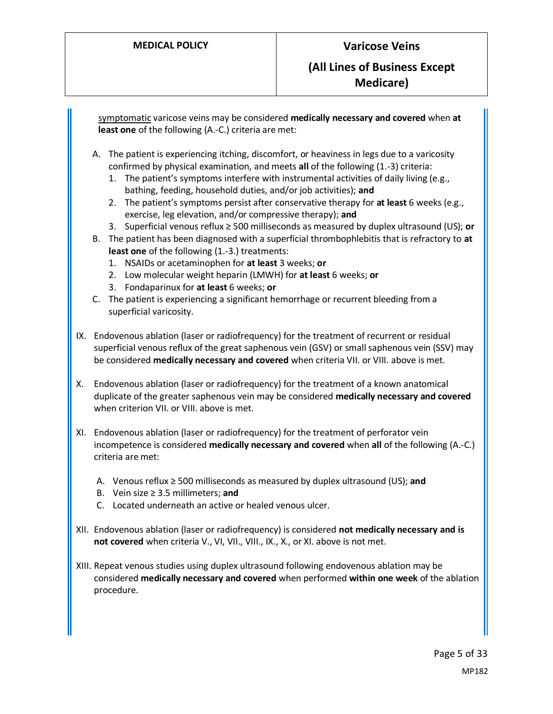<span id="page-4-0"></span>symptomatic varicose veins may be considered **medically necessary and covered** when **at least one** of the following (A.-C.) criteria are met: A. The patient is experiencing itching, discomfort, or heaviness in legs due to a varicosity confirmed by physical examination, and meets **all** of the following (1.-3) criteria: 1. The patient's symptoms interfere with instrumental activities of daily living (e.g., bathing, feeding, household duties, and/or job activities); **and** 2. The patient's symptoms persist after conservative therapy for **at least** 6 weeks (e.g., exercise, leg elevation, and/or compressive therapy); **and** 3. Superficial venous reflux ≥ 500 milliseconds as measured by duplex ultrasound (US); **or** B. The patient has been diagnosed with a superficial thrombophlebitis that is refractory to **at least one** of the following (1.-3.) treatments: 1. NSAIDs or acetaminophen for **at least** 3 weeks; **or** 2. Low molecular weight heparin (LMWH) for **at least** 6 weeks; **or** 3. Fondaparinux for **at least** 6 weeks; **or** C. The patient is experiencing a significant hemorrhage or recurrent bleeding from a superficial varicosity. IX. Endovenous ablation (laser or radiofrequency) for the treatment of recurrent or residual superficial venous reflux of the great saphenous vein (GSV) or small saphenous vein (SSV) may be considered **medically necessary and covered** when criteria VII. or VIII. above is met. X. Endovenous ablation (laser or radiofrequency) for the treatment of a known anatomical duplicate of the greater saphenous vein may be considered **medically necessary and covered** when criterion VII. or VIII. above is met. XI. Endovenous ablation (laser or radiofrequency) for the treatment of perforator vein incompetence is considered **medically necessary and covered** when **all** of the following (A.-C.) criteria are met: A. Venous reflux ≥ 500 milliseconds as measured by duplex ultrasound (US); **and**  B. Vein size ≥ 3.5 millimeters; **and** C. Located underneath an active or healed venous ulcer. XII. Endovenous ablation (laser or radiofrequency) is considered **not medically necessary and is not covered** when criteria V., VI, VII., VIII., IX., X., or XI. above is not met. XIII. Repeat venous studies using duplex ultrasound following endovenous ablation may be considered **medically necessary and covered** when performed **within one week** of the ablation procedure.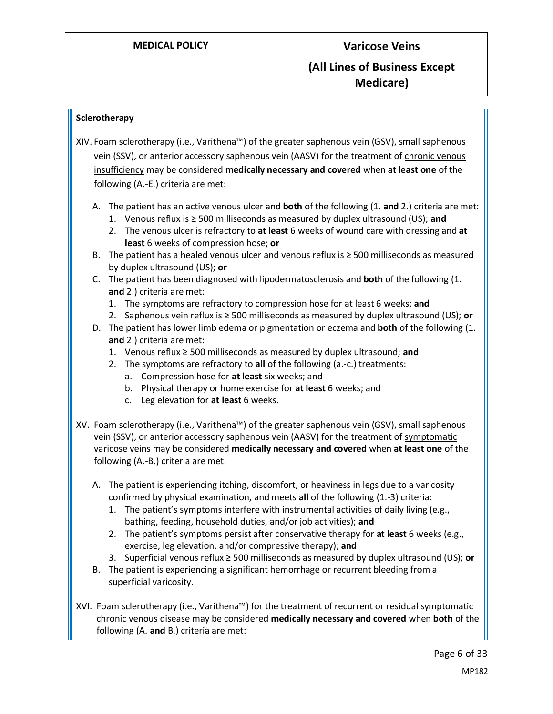### **Sclerotherapy**

- XIV. Foam sclerotherapy (i.e., Varithena™) of the greater saphenous vein (GSV), small saphenous vein (SSV), or anterior accessory saphenous vein (AASV) for the treatment of chronic venous insufficiency may be considered **medically necessary and covered** when **at least one** of the following (A.-E.) criteria are met:
	- A. The patient has an active venous ulcer and **both** of the following (1. **and** 2.) criteria are met:
		- 1. Venous reflux is ≥ 500 milliseconds as measured by duplex ultrasound (US); **and**
		- 2. The venous ulcer is refractory to **at least** 6 weeks of wound care with dressing and **at least** 6 weeks of compression hose; **or**
	- B. The patient has a healed venous ulcer and venous reflux is ≥ 500 milliseconds as measured by duplex ultrasound (US); **or**
	- C. The patient has been diagnosed with lipodermatosclerosis and **both** of the following (1. **and** 2.) criteria are met:
		- 1. The symptoms are refractory to compression hose for at least 6 weeks; **and**
		- 2. Saphenous vein reflux is ≥ 500 milliseconds as measured by duplex ultrasound (US); **or**
	- D. The patient has lower limb edema or pigmentation or eczema and **both** of the following (1. **and** 2.) criteria are met:
		- 1. Venous reflux ≥ 500 milliseconds as measured by duplex ultrasound; **and**
		- 2. The symptoms are refractory to **all** of the following (a.-c.) treatments:
			- a. Compression hose for **at least** six weeks; and
			- b. Physical therapy or home exercise for **at least** 6 weeks; and
			- c. Leg elevation for **at least** 6 weeks.
- XV. Foam sclerotherapy (i.e., Varithena™) of the greater saphenous vein (GSV), small saphenous vein (SSV), or anterior accessory saphenous vein (AASV) for the treatment of symptomatic varicose veins may be considered **medically necessary and covered** when **at least one** of the following (A.-B.) criteria are met:
	- A. The patient is experiencing itching, discomfort, or heaviness in legs due to a varicosity confirmed by physical examination, and meets **all** of the following (1.-3) criteria:
		- 1. The patient's symptoms interfere with instrumental activities of daily living (e.g., bathing, feeding, household duties, and/or job activities); **and**
		- 2. The patient's symptoms persist after conservative therapy for **at least** 6 weeks (e.g., exercise, leg elevation, and/or compressive therapy); **and**
		- 3. Superficial venous reflux ≥ 500 milliseconds as measured by duplex ultrasound (US); **or**
	- B. The patient is experiencing a significant hemorrhage or recurrent bleeding from a superficial varicosity.
- XVI. Foam sclerotherapy (i.e., Varithena™) for the treatment of recurrent or residual symptomatic chronic venous disease may be considered **medically necessary and covered** when **both** of the following (A. **and** B.) criteria are met:

Page 6 of 33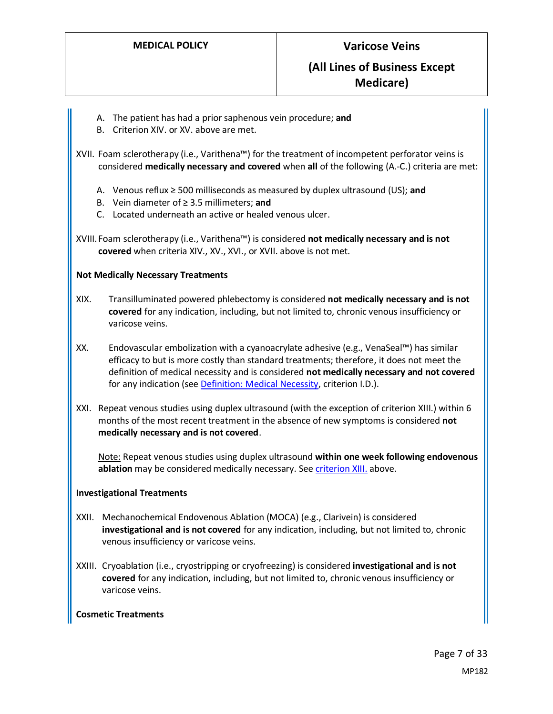- A. The patient has had a prior saphenous vein procedure; **and**
- B. Criterion XIV. or XV. above are met.

XVII. Foam sclerotherapy (i.e., Varithena™) for the treatment of incompetent perforator veins is considered **medically necessary and covered** when **all** of the following (A.-C.) criteria are met:

- A. Venous reflux ≥ 500 milliseconds as measured by duplex ultrasound (US); **and**
- B. Vein diameter of ≥ 3.5 millimeters; **and**
- C. Located underneath an active or healed venous ulcer.

XVIII.Foam sclerotherapy (i.e., Varithena™) is considered **not medically necessary and is not covered** when criteria XIV., XV., XVI., or XVII. above is not met.

#### **Not Medically Necessary Treatments**

- XIX. Transilluminated powered phlebectomy is considered **not medically necessary and is not covered** for any indication, including, but not limited to, chronic venous insufficiency or varicose veins.
- XX. Endovascular embolization with a cyanoacrylate adhesive (e.g., VenaSeal™) has similar efficacy to but is more costly than standard treatments; therefore, it does not meet the definition of medical necessity and is considered **not medically necessary and not covered** for any indication (see [Definition: Medical Necessity,](https://www.providencehealthplan.com/-/media/providence/website/pdfs/providers/medical-policy-and-provider-information/medical-policies/php_definition_medical_necessity.pdf?sc_lang=en&rev=e3e9cd66f4444339960efb52bc1d46e0&hash=7197857F75A048F4AA2CE594C987CD89) criterion I.D.).
- XXI. Repeat venous studies using duplex ultrasound (with the exception of criterion XIII.) within 6 months of the most recent treatment in the absence of new symptoms is considered **not medically necessary and is not covered**.

Note: Repeat venous studies using duplex ultrasound **within one week following endovenous ablation** may be considered medically necessary. Se[e criterion XIII.](#page-4-0) above.

#### **Investigational Treatments**

- XXII. Mechanochemical Endovenous Ablation (MOCA) (e.g., Clarivein) is considered **investigational and is not covered** for any indication, including, but not limited to, chronic venous insufficiency or varicose veins.
- XXIII. Cryoablation (i.e., cryostripping or cryofreezing) is considered **investigational and is not covered** for any indication, including, but not limited to, chronic venous insufficiency or varicose veins.

### **Cosmetic Treatments**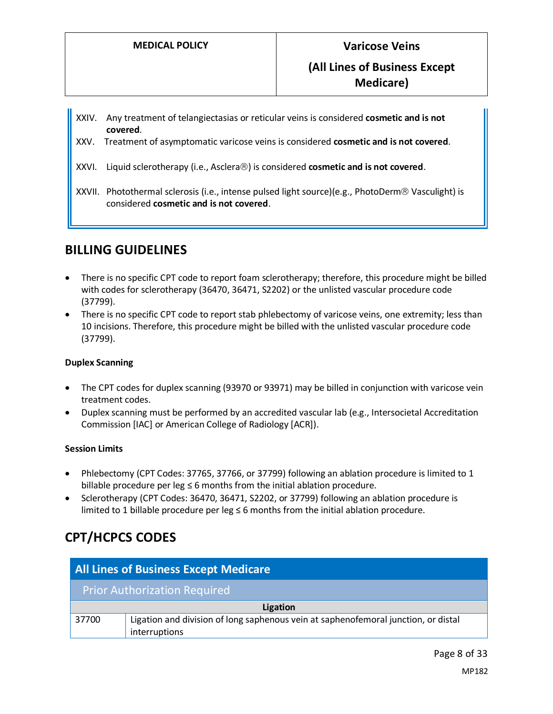- XXIV. Any treatment of telangiectasias or reticular veins is considered **cosmetic and is not covered**.
- XXV. Treatment of asymptomatic varicose veins is considered **cosmetic and is not covered**.
- XXVI. Liquid sclerotherapy (i.e., Asclera<sup>®</sup>) is considered **cosmetic and is not covered**.
- XXVII. Photothermal sclerosis (i.e., intense pulsed light source)(e.g., PhotoDerm® Vasculight) is considered **cosmetic and is not covered**.

# **BILLING GUIDELINES**

- There is no specific CPT code to report foam sclerotherapy; therefore, this procedure might be billed with codes for sclerotherapy (36470, 36471, S2202) or the unlisted vascular procedure code (37799).
- There is no specific CPT code to report stab phlebectomy of varicose veins, one extremity; less than 10 incisions. Therefore, this procedure might be billed with the unlisted vascular procedure code (37799).

### **Duplex Scanning**

- The CPT codes for duplex scanning (93970 or 93971) may be billed in conjunction with varicose vein treatment codes.
- Duplex scanning must be performed by an accredited vascular lab (e.g., Intersocietal Accreditation Commission [IAC] or American College of Radiology [ACR]).

### **Session Limits**

- Phlebectomy (CPT Codes: 37765, 37766, or 37799) following an ablation procedure is limited to 1 billable procedure per leg  $\leq 6$  months from the initial ablation procedure.
- Sclerotherapy (CPT Codes: 36470, 36471, S2202, or 37799) following an ablation procedure is limited to 1 billable procedure per leg  $\leq$  6 months from the initial ablation procedure.

# **CPT/HCPCS CODES**

| <b>All Lines of Business Except Medicare</b> |                                                                                                     |  |
|----------------------------------------------|-----------------------------------------------------------------------------------------------------|--|
|                                              | <b>Prior Authorization Required</b>                                                                 |  |
| Ligation                                     |                                                                                                     |  |
| 37700                                        | Ligation and division of long saphenous vein at saphenofemoral junction, or distal<br>interruptions |  |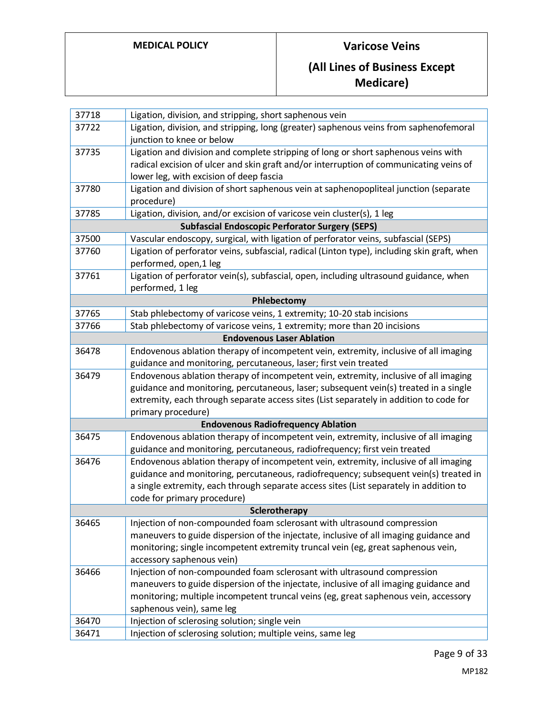## **MEDICAL POLICY Varicose Veins**

# **(All Lines of Business Except Medicare)**

| 37718         | Ligation, division, and stripping, short saphenous vein                                     |  |  |
|---------------|---------------------------------------------------------------------------------------------|--|--|
| 37722         | Ligation, division, and stripping, long (greater) saphenous veins from saphenofemoral       |  |  |
|               | junction to knee or below                                                                   |  |  |
| 37735         | Ligation and division and complete stripping of long or short saphenous veins with          |  |  |
|               | radical excision of ulcer and skin graft and/or interruption of communicating veins of      |  |  |
|               | lower leg, with excision of deep fascia                                                     |  |  |
| 37780         | Ligation and division of short saphenous vein at saphenopopliteal junction (separate        |  |  |
|               | procedure)                                                                                  |  |  |
| 37785         | Ligation, division, and/or excision of varicose vein cluster(s), 1 leg                      |  |  |
|               | <b>Subfascial Endoscopic Perforator Surgery (SEPS)</b>                                      |  |  |
| 37500         | Vascular endoscopy, surgical, with ligation of perforator veins, subfascial (SEPS)          |  |  |
| 37760         | Ligation of perforator veins, subfascial, radical (Linton type), including skin graft, when |  |  |
|               | performed, open, 1 leg                                                                      |  |  |
| 37761         | Ligation of perforator vein(s), subfascial, open, including ultrasound guidance, when       |  |  |
|               | performed, 1 leg                                                                            |  |  |
|               | Phlebectomy                                                                                 |  |  |
| 37765         | Stab phlebectomy of varicose veins, 1 extremity; 10-20 stab incisions                       |  |  |
| 37766         | Stab phlebectomy of varicose veins, 1 extremity; more than 20 incisions                     |  |  |
|               | <b>Endovenous Laser Ablation</b>                                                            |  |  |
| 36478         | Endovenous ablation therapy of incompetent vein, extremity, inclusive of all imaging        |  |  |
|               | guidance and monitoring, percutaneous, laser; first vein treated                            |  |  |
| 36479         | Endovenous ablation therapy of incompetent vein, extremity, inclusive of all imaging        |  |  |
|               | guidance and monitoring, percutaneous, laser; subsequent vein(s) treated in a single        |  |  |
|               | extremity, each through separate access sites (List separately in addition to code for      |  |  |
|               | primary procedure)                                                                          |  |  |
|               | <b>Endovenous Radiofrequency Ablation</b>                                                   |  |  |
| 36475         | Endovenous ablation therapy of incompetent vein, extremity, inclusive of all imaging        |  |  |
|               | guidance and monitoring, percutaneous, radiofrequency; first vein treated                   |  |  |
| 36476         | Endovenous ablation therapy of incompetent vein, extremity, inclusive of all imaging        |  |  |
|               | guidance and monitoring, percutaneous, radiofrequency; subsequent vein(s) treated in        |  |  |
|               | a single extremity, each through separate access sites (List separately in addition to      |  |  |
|               | code for primary procedure)                                                                 |  |  |
| Sclerotherapy |                                                                                             |  |  |
| 36465         | Injection of non-compounded foam sclerosant with ultrasound compression                     |  |  |
|               | maneuvers to guide dispersion of the injectate, inclusive of all imaging guidance and       |  |  |
|               | monitoring; single incompetent extremity truncal vein (eg, great saphenous vein,            |  |  |
|               | accessory saphenous vein)                                                                   |  |  |
| 36466         | Injection of non-compounded foam sclerosant with ultrasound compression                     |  |  |
|               | maneuvers to guide dispersion of the injectate, inclusive of all imaging guidance and       |  |  |
|               | monitoring; multiple incompetent truncal veins (eg, great saphenous vein, accessory         |  |  |
|               | saphenous vein), same leg                                                                   |  |  |
| 36470         | Injection of sclerosing solution; single vein                                               |  |  |
| 36471         | Injection of sclerosing solution; multiple veins, same leg                                  |  |  |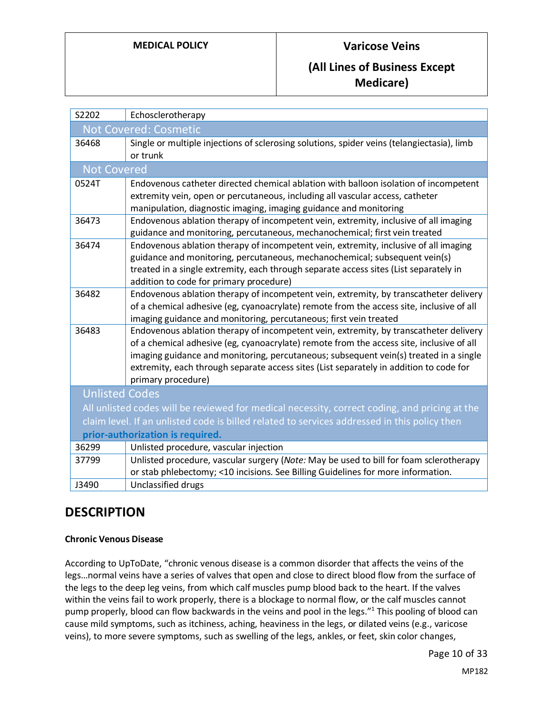| S2202                                                                                        | Echosclerotherapy                                                                                                                                                  |  |  |  |
|----------------------------------------------------------------------------------------------|--------------------------------------------------------------------------------------------------------------------------------------------------------------------|--|--|--|
| <b>Not Covered: Cosmetic</b>                                                                 |                                                                                                                                                                    |  |  |  |
| 36468                                                                                        | Single or multiple injections of sclerosing solutions, spider veins (telangiectasia), limb                                                                         |  |  |  |
|                                                                                              | or trunk                                                                                                                                                           |  |  |  |
| <b>Not Covered</b>                                                                           |                                                                                                                                                                    |  |  |  |
| 0524T                                                                                        | Endovenous catheter directed chemical ablation with balloon isolation of incompetent                                                                               |  |  |  |
|                                                                                              | extremity vein, open or percutaneous, including all vascular access, catheter                                                                                      |  |  |  |
|                                                                                              | manipulation, diagnostic imaging, imaging guidance and monitoring                                                                                                  |  |  |  |
| 36473                                                                                        | Endovenous ablation therapy of incompetent vein, extremity, inclusive of all imaging<br>guidance and monitoring, percutaneous, mechanochemical; first vein treated |  |  |  |
| 36474                                                                                        | Endovenous ablation therapy of incompetent vein, extremity, inclusive of all imaging                                                                               |  |  |  |
|                                                                                              | guidance and monitoring, percutaneous, mechanochemical; subsequent vein(s)                                                                                         |  |  |  |
|                                                                                              | treated in a single extremity, each through separate access sites (List separately in                                                                              |  |  |  |
|                                                                                              | addition to code for primary procedure)                                                                                                                            |  |  |  |
| 36482                                                                                        | Endovenous ablation therapy of incompetent vein, extremity, by transcatheter delivery                                                                              |  |  |  |
|                                                                                              | of a chemical adhesive (eg, cyanoacrylate) remote from the access site, inclusive of all                                                                           |  |  |  |
|                                                                                              | imaging guidance and monitoring, percutaneous; first vein treated                                                                                                  |  |  |  |
| 36483                                                                                        | Endovenous ablation therapy of incompetent vein, extremity, by transcatheter delivery                                                                              |  |  |  |
|                                                                                              | of a chemical adhesive (eg, cyanoacrylate) remote from the access site, inclusive of all                                                                           |  |  |  |
|                                                                                              | imaging guidance and monitoring, percutaneous; subsequent vein(s) treated in a single                                                                              |  |  |  |
|                                                                                              | extremity, each through separate access sites (List separately in addition to code for                                                                             |  |  |  |
|                                                                                              | primary procedure)                                                                                                                                                 |  |  |  |
| <b>Unlisted Codes</b>                                                                        |                                                                                                                                                                    |  |  |  |
|                                                                                              | All unlisted codes will be reviewed for medical necessity, correct coding, and pricing at the                                                                      |  |  |  |
| claim level. If an unlisted code is billed related to services addressed in this policy then |                                                                                                                                                                    |  |  |  |
| prior-authorization is required.                                                             |                                                                                                                                                                    |  |  |  |
| 36299                                                                                        | Unlisted procedure, vascular injection                                                                                                                             |  |  |  |
| 37799                                                                                        | Unlisted procedure, vascular surgery (Note: May be used to bill for foam sclerotherapy                                                                             |  |  |  |
|                                                                                              | or stab phlebectomy; <10 incisions. See Billing Guidelines for more information.                                                                                   |  |  |  |
| J3490                                                                                        | Unclassified drugs                                                                                                                                                 |  |  |  |

# **DESCRIPTION**

### **Chronic Venous Disease**

According to UpToDate, "chronic venous disease is a common disorder that affects the veins of the legs…normal veins have a series of valves that open and close to direct blood flow from the surface of the legs to the deep leg veins, from which calf muscles pump blood back to the heart. If the valves within the veins fail to work properly, there is a blockage to normal flow, or the calf muscles cannot pump properly, blood can flow backwards in the veins and pool in the legs."<sup>1</sup> This pooling of blood can cause mild symptoms, such as itchiness, aching, heaviness in the legs, or dilated veins (e.g., varicose veins), to more severe symptoms, such as swelling of the legs, ankles, or feet, skin color changes,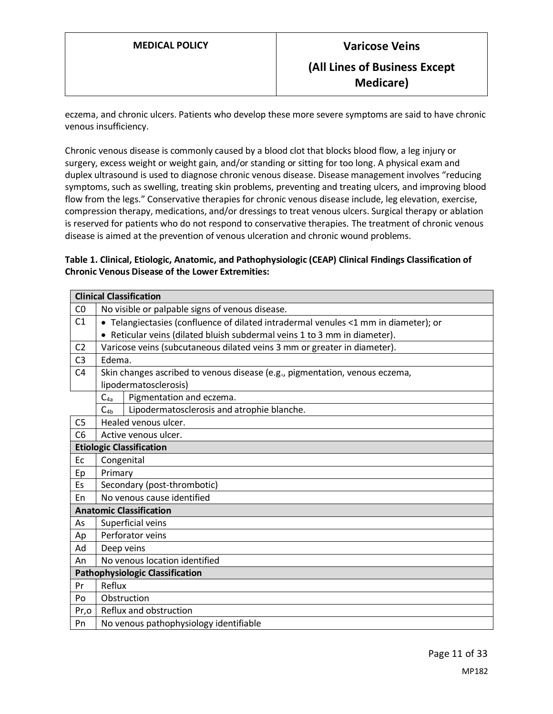eczema, and chronic ulcers. Patients who develop these more severe symptoms are said to have chronic venous insufficiency.

Chronic venous disease is commonly caused by a blood clot that blocks blood flow, a leg injury or surgery, excess weight or weight gain, and/or standing or sitting for too long. A physical exam and duplex ultrasound is used to diagnose chronic venous disease. Disease management involves "reducing symptoms, such as swelling, treating skin problems, preventing and treating ulcers, and improving blood flow from the legs." Conservative therapies for chronic venous disease include, leg elevation, exercise, compression therapy, medications, and/or dressings to treat venous ulcers. Surgical therapy or ablation is reserved for patients who do not respond to conservative therapies. The treatment of chronic venous disease is aimed at the prevention of venous ulceration and chronic wound problems.

### <span id="page-10-0"></span>**Table 1. Clinical, Etiologic, Anatomic, and Pathophysiologic (CEAP) Clinical Findings Classification of Chronic Venous Disease of the Lower Extremities:**

|                                        | <b>Clinical Classification</b>                                                      |  |  |
|----------------------------------------|-------------------------------------------------------------------------------------|--|--|
| CO                                     | No visible or palpable signs of venous disease.                                     |  |  |
| C <sub>1</sub>                         | • Telangiectasies (confluence of dilated intradermal venules <1 mm in diameter); or |  |  |
|                                        | • Reticular veins (dilated bluish subdermal veins 1 to 3 mm in diameter).           |  |  |
| C <sub>2</sub>                         | Varicose veins (subcutaneous dilated veins 3 mm or greater in diameter).            |  |  |
| C <sub>3</sub>                         | Edema.                                                                              |  |  |
| C <sub>4</sub>                         | Skin changes ascribed to venous disease (e.g., pigmentation, venous eczema,         |  |  |
|                                        | lipodermatosclerosis)                                                               |  |  |
|                                        | Pigmentation and eczema.<br>$C_{4a}$                                                |  |  |
|                                        | $C_{4b}$<br>Lipodermatosclerosis and atrophie blanche.                              |  |  |
| C <sub>5</sub>                         | Healed venous ulcer.                                                                |  |  |
| C6                                     | Active venous ulcer.                                                                |  |  |
|                                        | <b>Etiologic Classification</b>                                                     |  |  |
| Ec                                     | Congenital                                                                          |  |  |
| Ep                                     | Primary                                                                             |  |  |
| Es                                     | Secondary (post-thrombotic)                                                         |  |  |
| En                                     | No venous cause identified                                                          |  |  |
|                                        | <b>Anatomic Classification</b>                                                      |  |  |
| As                                     | Superficial veins                                                                   |  |  |
| Ap                                     | Perforator veins                                                                    |  |  |
| Ad                                     | Deep veins                                                                          |  |  |
| An                                     | No venous location identified                                                       |  |  |
| <b>Pathophysiologic Classification</b> |                                                                                     |  |  |
| Pr                                     | Reflux                                                                              |  |  |
| Po                                     | Obstruction                                                                         |  |  |
| Pr,o                                   | Reflux and obstruction                                                              |  |  |
| Pn                                     | No venous pathophysiology identifiable                                              |  |  |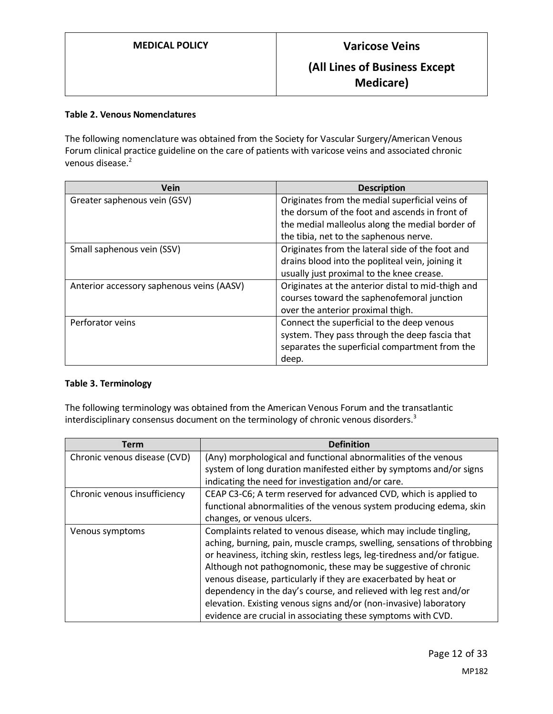#### **Table 2. Venous Nomenclatures**

The following nomenclature was obtained from the Society for Vascular Surgery/American Venous Forum clinical practice guideline on the care of patients with varicose veins and associated chronic venous disease.<sup>2</sup>

| <b>Vein</b>                               | <b>Description</b>                                 |
|-------------------------------------------|----------------------------------------------------|
| Greater saphenous vein (GSV)              | Originates from the medial superficial veins of    |
|                                           | the dorsum of the foot and ascends in front of     |
|                                           | the medial malleolus along the medial border of    |
|                                           | the tibia, net to the saphenous nerve.             |
| Small saphenous vein (SSV)                | Originates from the lateral side of the foot and   |
|                                           | drains blood into the popliteal vein, joining it   |
|                                           | usually just proximal to the knee crease.          |
| Anterior accessory saphenous veins (AASV) | Originates at the anterior distal to mid-thigh and |
|                                           | courses toward the saphenofemoral junction         |
|                                           | over the anterior proximal thigh.                  |
| Perforator veins                          | Connect the superficial to the deep venous         |
|                                           | system. They pass through the deep fascia that     |
|                                           | separates the superficial compartment from the     |
|                                           | deep.                                              |

#### **Table 3. Terminology**

The following terminology was obtained from the American Venous Forum and the transatlantic interdisciplinary consensus document on the terminology of chronic venous disorders.<sup>3</sup>

| Term                         | <b>Definition</b>                                                        |  |  |  |
|------------------------------|--------------------------------------------------------------------------|--|--|--|
| Chronic venous disease (CVD) | (Any) morphological and functional abnormalities of the venous           |  |  |  |
|                              | system of long duration manifested either by symptoms and/or signs       |  |  |  |
|                              | indicating the need for investigation and/or care.                       |  |  |  |
| Chronic venous insufficiency | CEAP C3-C6; A term reserved for advanced CVD, which is applied to        |  |  |  |
|                              | functional abnormalities of the venous system producing edema, skin      |  |  |  |
|                              | changes, or venous ulcers.                                               |  |  |  |
| Venous symptoms              | Complaints related to venous disease, which may include tingling,        |  |  |  |
|                              | aching, burning, pain, muscle cramps, swelling, sensations of throbbing  |  |  |  |
|                              | or heaviness, itching skin, restless legs, leg-tiredness and/or fatigue. |  |  |  |
|                              | Although not pathognomonic, these may be suggestive of chronic           |  |  |  |
|                              | venous disease, particularly if they are exacerbated by heat or          |  |  |  |
|                              | dependency in the day's course, and relieved with leg rest and/or        |  |  |  |
|                              | elevation. Existing venous signs and/or (non-invasive) laboratory        |  |  |  |
|                              | evidence are crucial in associating these symptoms with CVD.             |  |  |  |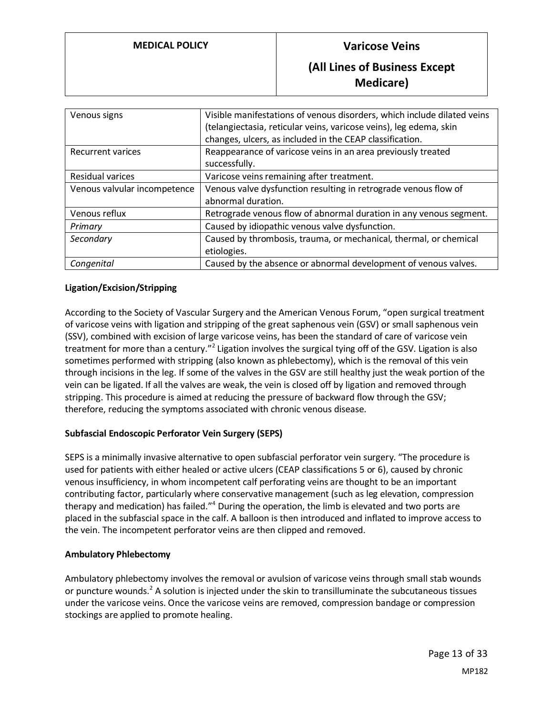### **MEDICAL POLICY Varicose Veins**

## **(All Lines of Business Except Medicare)**

| Venous signs                 | Visible manifestations of venous disorders, which include dilated veins<br>(telangiectasia, reticular veins, varicose veins), leg edema, skin<br>changes, ulcers, as included in the CEAP classification. |  |
|------------------------------|-----------------------------------------------------------------------------------------------------------------------------------------------------------------------------------------------------------|--|
| <b>Recurrent varices</b>     | Reappearance of varicose veins in an area previously treated<br>successfully.                                                                                                                             |  |
| Residual varices             | Varicose veins remaining after treatment.                                                                                                                                                                 |  |
| Venous valvular incompetence | Venous valve dysfunction resulting in retrograde venous flow of<br>abnormal duration.                                                                                                                     |  |
| Venous reflux                | Retrograde venous flow of abnormal duration in any venous segment.                                                                                                                                        |  |
| Primary                      | Caused by idiopathic venous valve dysfunction.                                                                                                                                                            |  |
| Secondary                    | Caused by thrombosis, trauma, or mechanical, thermal, or chemical<br>etiologies.                                                                                                                          |  |
| Congenital                   | Caused by the absence or abnormal development of venous valves.                                                                                                                                           |  |

#### **Ligation/Excision/Stripping**

According to the Society of Vascular Surgery and the American Venous Forum, "open surgical treatment of varicose veins with ligation and stripping of the great saphenous vein (GSV) or small saphenous vein (SSV), combined with excision of large varicose veins, has been the standard of care of varicose vein treatment for more than a century."<sup>2</sup> Ligation involves the surgical tying off of the GSV. Ligation is also sometimes performed with stripping (also known as phlebectomy), which is the removal of this vein through incisions in the leg. If some of the valves in the GSV are still healthy just the weak portion of the vein can be ligated. If all the valves are weak, the vein is closed off by ligation and removed through stripping. This procedure is aimed at reducing the pressure of backward flow through the GSV; therefore, reducing the symptoms associated with chronic venous disease.

#### **Subfascial Endoscopic Perforator Vein Surgery (SEPS)**

SEPS is a minimally invasive alternative to open subfascial perforator vein surgery. "The procedure is used for patients with either healed or active ulcers (CEAP classifications 5 or 6), caused by chronic venous insufficiency, in whom incompetent calf perforating veins are thought to be an important contributing factor, particularly where conservative management (such as leg elevation, compression therapy and medication) has failed."<sup>4</sup> During the operation, the limb is elevated and two ports are placed in the subfascial space in the calf. A balloon is then introduced and inflated to improve access to the vein. The incompetent perforator veins are then clipped and removed.

#### **Ambulatory Phlebectomy**

Ambulatory phlebectomy involves the removal or avulsion of varicose veins through small stab wounds or puncture wounds.<sup>2</sup> A solution is injected under the skin to transilluminate the subcutaneous tissues under the varicose veins. Once the varicose veins are removed, compression bandage or compression stockings are applied to promote healing.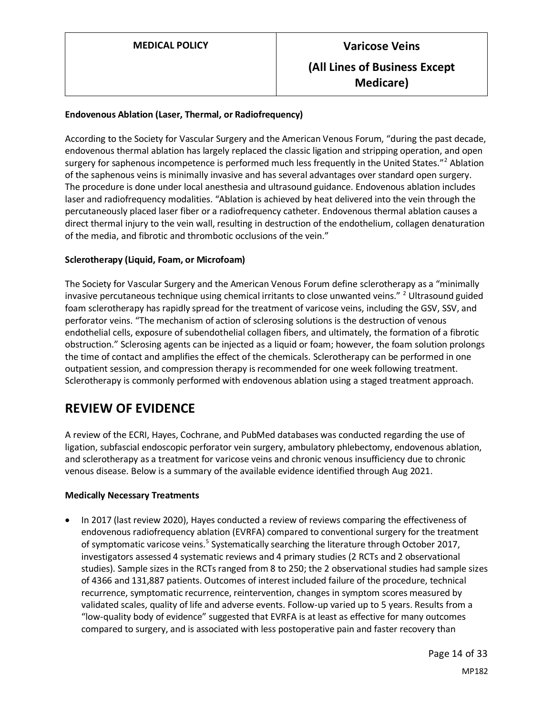#### **Endovenous Ablation (Laser, Thermal, or Radiofrequency)**

According to the Society for Vascular Surgery and the American Venous Forum, "during the past decade, endovenous thermal ablation has largely replaced the classic ligation and stripping operation, and open surgery for saphenous incompetence is performed much less frequently in the United States."<sup>2</sup> Ablation of the saphenous veins is minimally invasive and has several advantages over standard open surgery. The procedure is done under local anesthesia and ultrasound guidance. Endovenous ablation includes laser and radiofrequency modalities. "Ablation is achieved by heat delivered into the vein through the percutaneously placed laser fiber or a radiofrequency catheter. Endovenous thermal ablation causes a direct thermal injury to the vein wall, resulting in destruction of the endothelium, collagen denaturation of the media, and fibrotic and thrombotic occlusions of the vein."

#### **Sclerotherapy (Liquid, Foam, or Microfoam)**

The Society for Vascular Surgery and the American Venous Forum define sclerotherapy as a "minimally invasive percutaneous technique using chemical irritants to close unwanted veins." <sup>2</sup> Ultrasound guided foam sclerotherapy has rapidly spread for the treatment of varicose veins, including the GSV, SSV, and perforator veins. "The mechanism of action of sclerosing solutions is the destruction of venous endothelial cells, exposure of subendothelial collagen fibers, and ultimately, the formation of a fibrotic obstruction." Sclerosing agents can be injected as a liquid or foam; however, the foam solution prolongs the time of contact and amplifies the effect of the chemicals. Sclerotherapy can be performed in one outpatient session, and compression therapy is recommended for one week following treatment. Sclerotherapy is commonly performed with endovenous ablation using a staged treatment approach.

# **REVIEW OF EVIDENCE**

A review of the ECRI, Hayes, Cochrane, and PubMed databases was conducted regarding the use of ligation, subfascial endoscopic perforator vein surgery, ambulatory phlebectomy, endovenous ablation, and sclerotherapy as a treatment for varicose veins and chronic venous insufficiency due to chronic venous disease. Below is a summary of the available evidence identified through Aug 2021.

#### **Medically Necessary Treatments**

• In 2017 (last review 2020), Hayes conducted a review of reviews comparing the effectiveness of endovenous radiofrequency ablation (EVRFA) compared to conventional surgery for the treatment of symptomatic varicose veins.<sup>5</sup> Systematically searching the literature through October 2017, investigators assessed 4 systematic reviews and 4 primary studies (2 RCTs and 2 observational studies). Sample sizes in the RCTs ranged from 8 to 250; the 2 observational studies had sample sizes of 4366 and 131,887 patients. Outcomes of interest included failure of the procedure, technical recurrence, symptomatic recurrence, reintervention, changes in symptom scores measured by validated scales, quality of life and adverse events. Follow-up varied up to 5 years. Results from a "low-quality body of evidence" suggested that EVRFA is at least as effective for many outcomes compared to surgery, and is associated with less postoperative pain and faster recovery than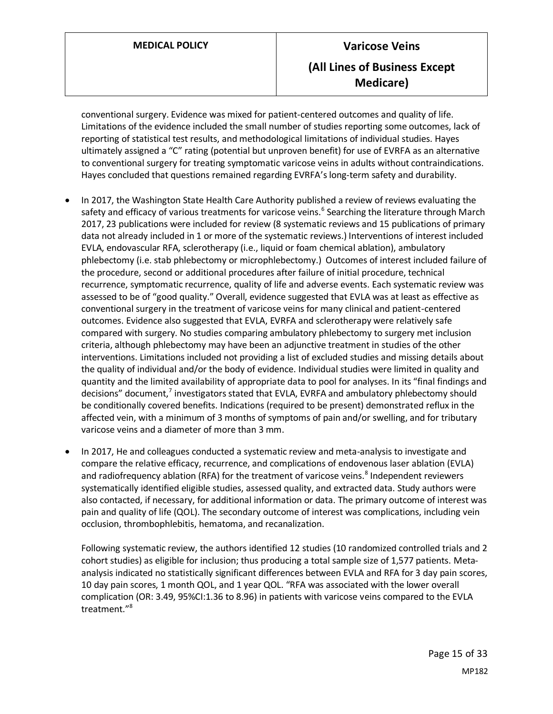conventional surgery. Evidence was mixed for patient-centered outcomes and quality of life. Limitations of the evidence included the small number of studies reporting some outcomes, lack of reporting of statistical test results, and methodological limitations of individual studies. Hayes ultimately assigned a "C" rating (potential but unproven benefit) for use of EVRFA as an alternative to conventional surgery for treating symptomatic varicose veins in adults without contraindications. Hayes concluded that questions remained regarding EVRFA's long-term safety and durability.

- In 2017, the Washington State Health Care Authority published a review of reviews evaluating the safety and efficacy of various treatments for varicose veins.<sup>6</sup> Searching the literature through March 2017, 23 publications were included for review (8 systematic reviews and 15 publications of primary data not already included in 1 or more of the systematic reviews.) Interventions of interest included EVLA, endovascular RFA, sclerotherapy (i.e., liquid or foam chemical ablation), ambulatory phlebectomy (i.e. stab phlebectomy or microphlebectomy.) Outcomes of interest included failure of the procedure, second or additional procedures after failure of initial procedure, technical recurrence, symptomatic recurrence, quality of life and adverse events. Each systematic review was assessed to be of "good quality." Overall, evidence suggested that EVLA was at least as effective as conventional surgery in the treatment of varicose veins for many clinical and patient-centered outcomes. Evidence also suggested that EVLA, EVRFA and sclerotherapy were relatively safe compared with surgery. No studies comparing ambulatory phlebectomy to surgery met inclusion criteria, although phlebectomy may have been an adjunctive treatment in studies of the other interventions. Limitations included not providing a list of excluded studies and missing details about the quality of individual and/or the body of evidence. Individual studies were limited in quality and quantity and the limited availability of appropriate data to pool for analyses. In its "final findings and decisions" document,<sup>7</sup> investigators stated that EVLA, EVRFA and ambulatory phlebectomy should be conditionally covered benefits. Indications (required to be present) demonstrated reflux in the affected vein, with a minimum of 3 months of symptoms of pain and/or swelling, and for tributary varicose veins and a diameter of more than 3 mm.
- In 2017, He and colleagues conducted a systematic review and meta-analysis to investigate and compare the relative efficacy, recurrence, and complications of endovenous laser ablation (EVLA) and radiofrequency ablation (RFA) for the treatment of varicose veins.<sup>8</sup> Independent reviewers systematically identified eligible studies, assessed quality, and extracted data. Study authors were also contacted, if necessary, for additional information or data. The primary outcome of interest was pain and quality of life (QOL). The secondary outcome of interest was complications, including vein occlusion, thrombophlebitis, hematoma, and recanalization.

Following systematic review, the authors identified 12 studies (10 randomized controlled trials and 2 cohort studies) as eligible for inclusion; thus producing a total sample size of 1,577 patients. Metaanalysis indicated no statistically significant differences between EVLA and RFA for 3 day pain scores, 10 day pain scores, 1 month QOL, and 1 year QOL. "RFA was associated with the lower overall complication (OR: 3.49, 95%CI:1.36 to 8.96) in patients with varicose veins compared to the EVLA treatment."<sup>8</sup>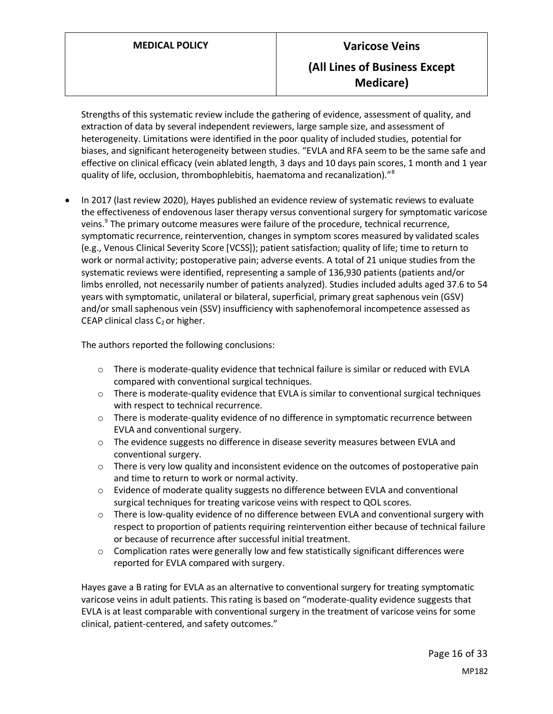Strengths of this systematic review include the gathering of evidence, assessment of quality, and extraction of data by several independent reviewers, large sample size, and assessment of heterogeneity. Limitations were identified in the poor quality of included studies, potential for biases, and significant heterogeneity between studies. "EVLA and RFA seem to be the same safe and effective on clinical efficacy (vein ablated length, 3 days and 10 days pain scores, 1 month and 1 year quality of life, occlusion, thrombophlebitis, haematoma and recanalization)."<sup>8</sup>

• In 2017 (last review 2020), Hayes published an evidence review of systematic reviews to evaluate the effectiveness of endovenous laser therapy versus conventional surgery for symptomatic varicose veins.<sup>9</sup> The primary outcome measures were failure of the procedure, technical recurrence, symptomatic recurrence, reintervention, changes in symptom scores measured by validated scales (e.g., Venous Clinical Severity Score [VCSS]); patient satisfaction; quality of life; time to return to work or normal activity; postoperative pain; adverse events. A total of 21 unique studies from the systematic reviews were identified, representing a sample of 136,930 patients (patients and/or limbs enrolled, not necessarily number of patients analyzed). Studies included adults aged 37.6 to 54 years with symptomatic, unilateral or bilateral, superficial, primary great saphenous vein (GSV) and/or small saphenous vein (SSV) insufficiency with saphenofemoral incompetence assessed as CEAP clinical class  $C_2$  or higher.

The authors reported the following conclusions:

- o There is moderate-quality evidence that technical failure is similar or reduced with EVLA compared with conventional surgical techniques.
- $\circ$  There is moderate-quality evidence that EVLA is similar to conventional surgical techniques with respect to technical recurrence.
- $\circ$  There is moderate-quality evidence of no difference in symptomatic recurrence between EVLA and conventional surgery.
- $\circ$  The evidence suggests no difference in disease severity measures between EVLA and conventional surgery.
- $\circ$  There is very low quality and inconsistent evidence on the outcomes of postoperative pain and time to return to work or normal activity.
- o Evidence of moderate quality suggests no difference between EVLA and conventional surgical techniques for treating varicose veins with respect to QOL scores.
- $\circ$  There is low-quality evidence of no difference between EVLA and conventional surgery with respect to proportion of patients requiring reintervention either because of technical failure or because of recurrence after successful initial treatment.
- $\circ$  Complication rates were generally low and few statistically significant differences were reported for EVLA compared with surgery.

Hayes gave a B rating for EVLA as an alternative to conventional surgery for treating symptomatic varicose veins in adult patients. This rating is based on "moderate-quality evidence suggests that EVLA is at least comparable with conventional surgery in the treatment of varicose veins for some clinical, patient-centered, and safety outcomes."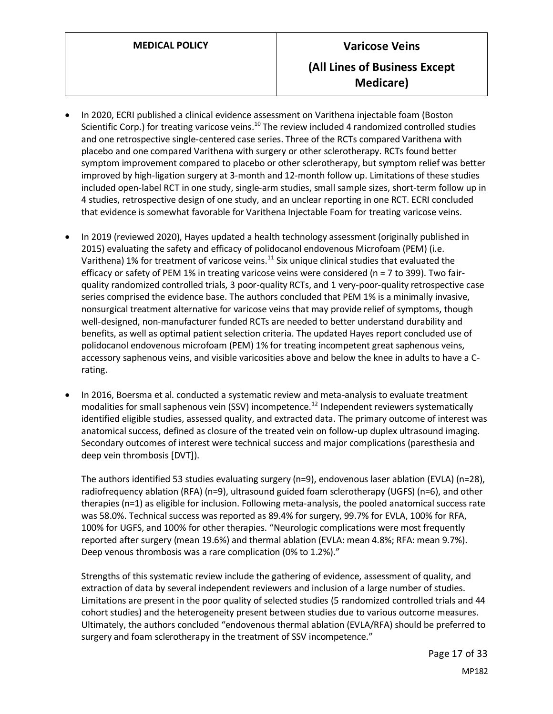- In 2020, ECRI published a clinical evidence assessment on Varithena injectable foam (Boston Scientific Corp.) for treating varicose veins.<sup>10</sup> The review included 4 randomized controlled studies and one retrospective single-centered case series. Three of the RCTs compared Varithena with placebo and one compared Varithena with surgery or other sclerotherapy. RCTs found better symptom improvement compared to placebo or other sclerotherapy, but symptom relief was better improved by high-ligation surgery at 3-month and 12-month follow up. Limitations of these studies included open-label RCT in one study, single-arm studies, small sample sizes, short-term follow up in 4 studies, retrospective design of one study, and an unclear reporting in one RCT. ECRI concluded that evidence is somewhat favorable for Varithena Injectable Foam for treating varicose veins.
- In 2019 (reviewed 2020), Hayes updated a health technology assessment (originally published in 2015) evaluating the safety and efficacy of polidocanol endovenous Microfoam (PEM) (i.e. Varithena) 1% for treatment of varicose veins. $^{11}$  Six unique clinical studies that evaluated the efficacy or safety of PEM 1% in treating varicose veins were considered (n = 7 to 399). Two fairquality randomized controlled trials, 3 poor-quality RCTs, and 1 very-poor-quality retrospective case series comprised the evidence base. The authors concluded that PEM 1% is a minimally invasive, nonsurgical treatment alternative for varicose veins that may provide relief of symptoms, though well-designed, non-manufacturer funded RCTs are needed to better understand durability and benefits, as well as optimal patient selection criteria. The updated Hayes report concluded use of polidocanol endovenous microfoam (PEM) 1% for treating incompetent great saphenous veins, accessory saphenous veins, and visible varicosities above and below the knee in adults to have a Crating.
- In 2016, Boersma et al. conducted a systematic review and meta-analysis to evaluate treatment modalities for small saphenous vein (SSV) incompetence.<sup>12</sup> Independent reviewers systematically identified eligible studies, assessed quality, and extracted data. The primary outcome of interest was anatomical success, defined as closure of the treated vein on follow-up duplex ultrasound imaging. Secondary outcomes of interest were technical success and major complications (paresthesia and deep vein thrombosis [DVT]).

The authors identified 53 studies evaluating surgery (n=9), endovenous laser ablation (EVLA) (n=28), radiofrequency ablation (RFA) (n=9), ultrasound guided foam sclerotherapy (UGFS) (n=6), and other therapies (n=1) as eligible for inclusion. Following meta-analysis, the pooled anatomical success rate was 58.0%. Technical success was reported as 89.4% for surgery, 99.7% for EVLA, 100% for RFA, 100% for UGFS, and 100% for other therapies. "Neurologic complications were most frequently reported after surgery (mean 19.6%) and thermal ablation (EVLA: mean 4.8%; RFA: mean 9.7%). Deep venous thrombosis was a rare complication (0% to 1.2%)."

Strengths of this systematic review include the gathering of evidence, assessment of quality, and extraction of data by several independent reviewers and inclusion of a large number of studies. Limitations are present in the poor quality of selected studies (5 randomized controlled trials and 44 cohort studies) and the heterogeneity present between studies due to various outcome measures. Ultimately, the authors concluded "endovenous thermal ablation (EVLA/RFA) should be preferred to surgery and foam sclerotherapy in the treatment of SSV incompetence."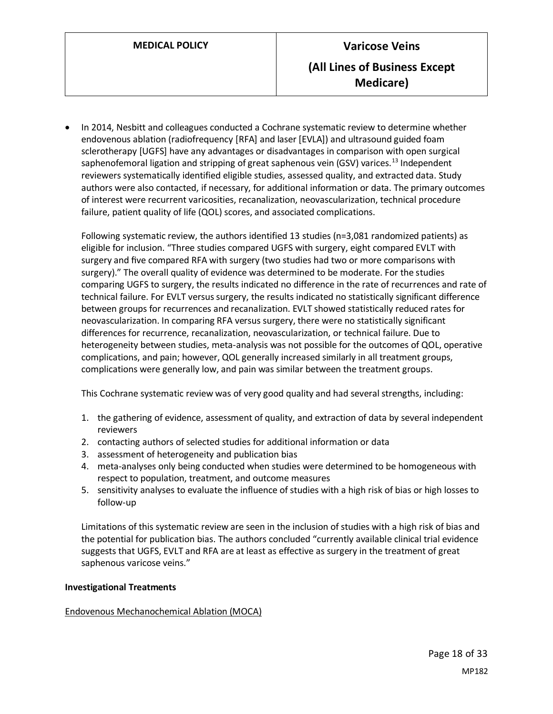• In 2014, Nesbitt and colleagues conducted a Cochrane systematic review to determine whether endovenous ablation (radiofrequency [RFA] and laser [EVLA]) and ultrasound guided foam sclerotherapy [UGFS] have any advantages or disadvantages in comparison with open surgical saphenofemoral ligation and stripping of great saphenous vein (GSV) varices.<sup>13</sup> Independent reviewers systematically identified eligible studies, assessed quality, and extracted data. Study authors were also contacted, if necessary, for additional information or data. The primary outcomes of interest were recurrent varicosities, recanalization, neovascularization, technical procedure failure, patient quality of life (QOL) scores, and associated complications.

Following systematic review, the authors identified 13 studies (n=3,081 randomized patients) as eligible for inclusion. "Three studies compared UGFS with surgery, eight compared EVLT with surgery and five compared RFA with surgery (two studies had two or more comparisons with surgery)." The overall quality of evidence was determined to be moderate. For the studies comparing UGFS to surgery, the results indicated no difference in the rate of recurrences and rate of technical failure. For EVLT versus surgery, the results indicated no statistically significant difference between groups for recurrences and recanalization. EVLT showed statistically reduced rates for neovascularization. In comparing RFA versus surgery, there were no statistically significant differences for recurrence, recanalization, neovascularization, or technical failure. Due to heterogeneity between studies, meta-analysis was not possible for the outcomes of QOL, operative complications, and pain; however, QOL generally increased similarly in all treatment groups, complications were generally low, and pain was similar between the treatment groups.

This Cochrane systematic review was of very good quality and had several strengths, including:

- 1. the gathering of evidence, assessment of quality, and extraction of data by several independent reviewers
- 2. contacting authors of selected studies for additional information or data
- 3. assessment of heterogeneity and publication bias
- 4. meta-analyses only being conducted when studies were determined to be homogeneous with respect to population, treatment, and outcome measures
- 5. sensitivity analyses to evaluate the influence of studies with a high risk of bias or high losses to follow-up

Limitations of this systematic review are seen in the inclusion of studies with a high risk of bias and the potential for publication bias. The authors concluded "currently available clinical trial evidence suggests that UGFS, EVLT and RFA are at least as effective as surgery in the treatment of great saphenous varicose veins."

#### **Investigational Treatments**

#### Endovenous Mechanochemical Ablation (MOCA)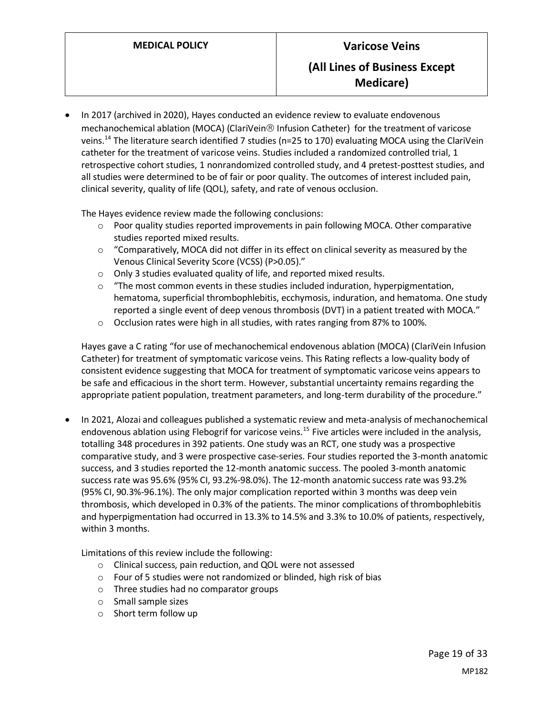• In 2017 (archived in 2020), Hayes conducted an evidence review to evaluate endovenous mechanochemical ablation (MOCA) (ClariVein® Infusion Catheter) for the treatment of varicose veins.<sup>14</sup> The literature search identified 7 studies (n=25 to 170) evaluating MOCA using the ClariVein catheter for the treatment of varicose veins. Studies included a randomized controlled trial, 1 retrospective cohort studies, 1 nonrandomized controlled study, and 4 pretest-posttest studies, and all studies were determined to be of fair or poor quality. The outcomes of interest included pain, clinical severity, quality of life (QOL), safety, and rate of venous occlusion.

The Hayes evidence review made the following conclusions:

- $\circ$  Poor quality studies reported improvements in pain following MOCA. Other comparative studies reported mixed results.
- $\circ$  "Comparatively, MOCA did not differ in its effect on clinical severity as measured by the Venous Clinical Severity Score (VCSS) (P>0.05)."
- o Only 3 studies evaluated quality of life, and reported mixed results.
- o "The most common events in these studies included induration, hyperpigmentation, hematoma, superficial thrombophlebitis, ecchymosis, induration, and hematoma. One study reported a single event of deep venous thrombosis (DVT) in a patient treated with MOCA."
- o Occlusion rates were high in all studies, with rates ranging from 87% to 100%.

Hayes gave a C rating "for use of mechanochemical endovenous ablation (MOCA) (ClariVein Infusion Catheter) for treatment of symptomatic varicose veins. This Rating reflects a low-quality body of consistent evidence suggesting that MOCA for treatment of symptomatic varicose veins appears to be safe and efficacious in the short term. However, substantial uncertainty remains regarding the appropriate patient population, treatment parameters, and long-term durability of the procedure."

• In 2021, Alozai and colleagues published a systematic review and meta-analysis of mechanochemical endovenous ablation using Flebogrif for varicose veins.<sup>15</sup> Five articles were included in the analysis, totalling 348 procedures in 392 patients. One study was an RCT, one study was a prospective comparative study, and 3 were prospective case-series. Four studies reported the 3-month anatomic success, and 3 studies reported the 12-month anatomic success. The pooled 3-month anatomic success rate was 95.6% (95% CI, 93.2%-98.0%). The 12-month anatomic success rate was 93.2% (95% CI, 90.3%-96.1%). The only major complication reported within 3 months was deep vein thrombosis, which developed in 0.3% of the patients. The minor complications of thrombophlebitis and hyperpigmentation had occurred in 13.3% to 14.5% and 3.3% to 10.0% of patients, respectively, within 3 months.

Limitations of this review include the following:

- o Clinical success, pain reduction, and QOL were not assessed
- o Four of 5 studies were not randomized or blinded, high risk of bias
- o Three studies had no comparator groups
- o Small sample sizes
- o Short term follow up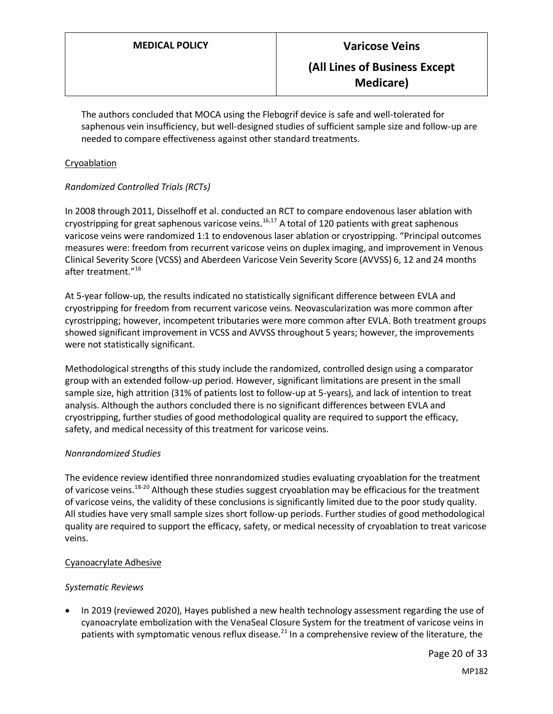The authors concluded that MOCA using the Flebogrif device is safe and well-tolerated for saphenous vein insufficiency, but well-designed studies of sufficient sample size and follow-up are needed to compare effectiveness against other standard treatments.

#### Cryoablation

### *Randomized Controlled Trials (RCTs)*

In 2008 through 2011, Disselhoff et al. conducted an RCT to compare endovenous laser ablation with cryostripping for great saphenous varicose veins.<sup>16,17</sup> A total of 120 patients with great saphenous varicose veins were randomized 1:1 to endovenous laser ablation or cryostripping. "Principal outcomes measures were: freedom from recurrent varicose veins on duplex imaging, and improvement in Venous Clinical Severity Score (VCSS) and Aberdeen Varicose Vein Severity Score (AVVSS) 6, 12 and 24 months after treatment."<sup>16</sup>

At 5-year follow-up, the results indicated no statistically significant difference between EVLA and cryostripping for freedom from recurrent varicose veins. Neovascularization was more common after cyrostripping; however, incompetent tributaries were more common after EVLA. Both treatment groups showed significant improvement in VCSS and AVVSS throughout 5 years; however, the improvements were not statistically significant.

Methodological strengths of this study include the randomized, controlled design using a comparator group with an extended follow-up period. However, significant limitations are present in the small sample size, high attrition (31% of patients lost to follow-up at 5-years), and lack of intention to treat analysis. Although the authors concluded there is no significant differences between EVLA and cryostripping, further studies of good methodological quality are required to support the efficacy, safety, and medical necessity of this treatment for varicose veins.

#### *Nonrandomized Studies*

The evidence review identified three nonrandomized studies evaluating cryoablation for the treatment of varicose veins.<sup>18-20</sup> Although these studies suggest cryoablation may be efficacious for the treatment of varicose veins, the validity of these conclusions is significantly limited due to the poor study quality. All studies have very small sample sizes short follow-up periods. Further studies of good methodological quality are required to support the efficacy, safety, or medical necessity of cryoablation to treat varicose veins.

#### Cyanoacrylate Adhesive

#### *Systematic Reviews*

• In 2019 (reviewed 2020), Hayes published a new health technology assessment regarding the use of cyanoacrylate embolization with the VenaSeal Closure System for the treatment of varicose veins in patients with symptomatic venous reflux disease.<sup>21</sup> In a comprehensive review of the literature, the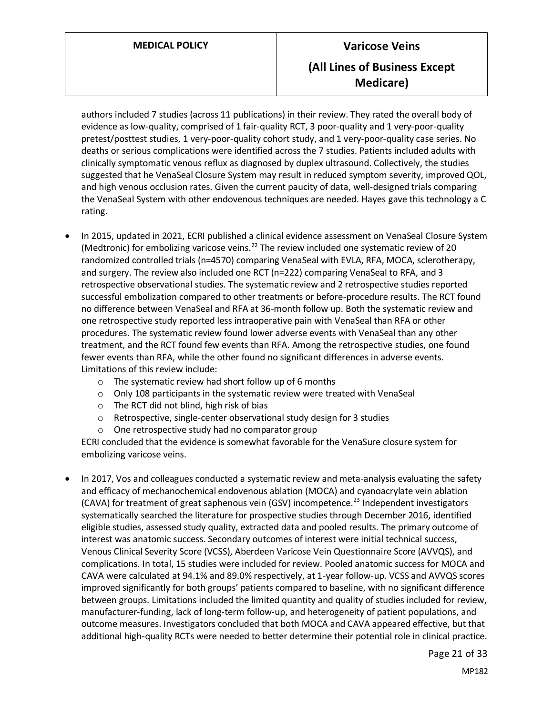authors included 7 studies (across 11 publications) in their review. They rated the overall body of evidence as low-quality, comprised of 1 fair-quality RCT, 3 poor-quality and 1 very-poor-quality pretest/posttest studies, 1 very-poor-quality cohort study, and 1 very-poor-quality case series. No deaths or serious complications were identified across the 7 studies. Patients included adults with clinically symptomatic venous reflux as diagnosed by duplex ultrasound. Collectively, the studies suggested that he VenaSeal Closure System may result in reduced symptom severity, improved QOL, and high venous occlusion rates. Given the current paucity of data, well-designed trials comparing the VenaSeal System with other endovenous techniques are needed. Hayes gave this technology a C rating.

- In 2015, updated in 2021, ECRI published a clinical evidence assessment on VenaSeal Closure System (Medtronic) for embolizing varicose veins.<sup>22</sup> The review included one systematic review of 20 randomized controlled trials (n=4570) comparing VenaSeal with EVLA, RFA, MOCA, sclerotherapy, and surgery. The review also included one RCT (n=222) comparing VenaSeal to RFA, and 3 retrospective observational studies. The systematic review and 2 retrospective studies reported successful embolization compared to other treatments or before-procedure results. The RCT found no difference between VenaSeal and RFA at 36-month follow up. Both the systematic review and one retrospective study reported less intraoperative pain with VenaSeal than RFA or other procedures. The systematic review found lower adverse events with VenaSeal than any other treatment, and the RCT found few events than RFA. Among the retrospective studies, one found fewer events than RFA, while the other found no significant differences in adverse events. Limitations of this review include:
	- o The systematic review had short follow up of 6 months
	- $\circ$  Only 108 participants in the systematic review were treated with VenaSeal
	- o The RCT did not blind, high risk of bias
	- o Retrospective, single-center observational study design for 3 studies
	- o One retrospective study had no comparator group

ECRI concluded that the evidence is somewhat favorable for the VenaSure closure system for embolizing varicose veins.

• In 2017, Vos and colleagues conducted a systematic review and meta-analysis evaluating the safety and efficacy of mechanochemical endovenous ablation (MOCA) and cyanoacrylate vein ablation (CAVA) for treatment of great saphenous vein (GSV) incompetence.<sup>23</sup> Independent investigators systematically searched the literature for prospective studies through December 2016, identified eligible studies, assessed study quality, extracted data and pooled results. The primary outcome of interest was anatomic success. Secondary outcomes of interest were initial technical success, Venous Clinical Severity Score (VCSS), Aberdeen Varicose Vein Questionnaire Score (AVVQS), and complications. In total, 15 studies were included for review. Pooled anatomic success for MOCA and CAVA were calculated at 94.1% and 89.0% respectively, at 1-year follow-up. VCSS and AVVQS scores improved significantly for both groups' patients compared to baseline, with no significant difference between groups. Limitations included the limited quantity and quality of studies included for review, manufacturer-funding, lack of long-term follow-up, and heterogeneity of patient populations, and outcome measures. Investigators concluded that both MOCA and CAVA appeared effective, but that additional high-quality RCTs were needed to better determine their potential role in clinical practice.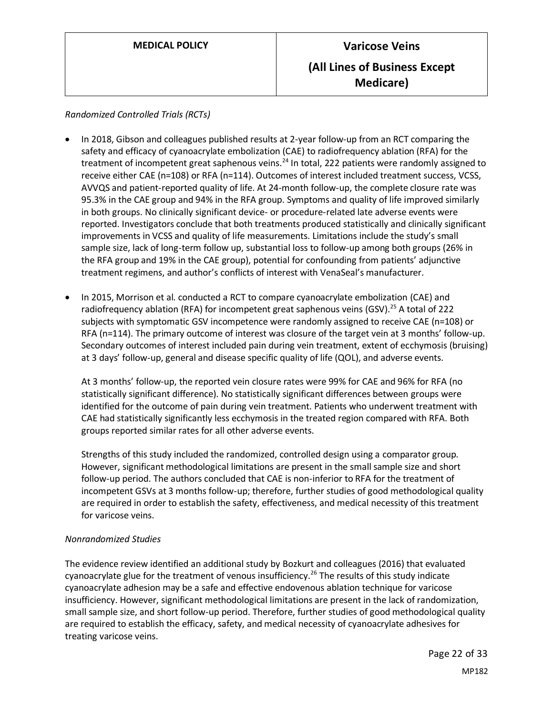*Randomized Controlled Trials (RCTs)*

- In 2018, Gibson and colleagues published results at 2-year follow-up from an RCT comparing the safety and efficacy of cyanoacrylate embolization (CAE) to radiofrequency ablation (RFA) for the treatment of incompetent great saphenous veins.<sup>24</sup> In total, 222 patients were randomly assigned to receive either CAE (n=108) or RFA (n=114). Outcomes of interest included treatment success, VCSS, AVVQS and patient-reported quality of life. At 24-month follow-up, the complete closure rate was 95.3% in the CAE group and 94% in the RFA group. Symptoms and quality of life improved similarly in both groups. No clinically significant device- or procedure-related late adverse events were reported. Investigators conclude that both treatments produced statistically and clinically significant improvements in VCSS and quality of life measurements. Limitations include the study's small sample size, lack of long-term follow up, substantial loss to follow-up among both groups (26% in the RFA group and 19% in the CAE group), potential for confounding from patients' adjunctive treatment regimens, and author's conflicts of interest with VenaSeal's manufacturer.
- In 2015, Morrison et al. conducted a RCT to compare cyanoacrylate embolization (CAE) and radiofrequency ablation (RFA) for incompetent great saphenous veins (GSV).<sup>25</sup> A total of 222 subjects with symptomatic GSV incompetence were randomly assigned to receive CAE (n=108) or RFA (n=114). The primary outcome of interest was closure of the target vein at 3 months' follow-up. Secondary outcomes of interest included pain during vein treatment, extent of ecchymosis (bruising) at 3 days' follow-up, general and disease specific quality of life (QOL), and adverse events.

At 3 months' follow-up, the reported vein closure rates were 99% for CAE and 96% for RFA (no statistically significant difference). No statistically significant differences between groups were identified for the outcome of pain during vein treatment. Patients who underwent treatment with CAE had statistically significantly less ecchymosis in the treated region compared with RFA. Both groups reported similar rates for all other adverse events.

Strengths of this study included the randomized, controlled design using a comparator group. However, significant methodological limitations are present in the small sample size and short follow-up period. The authors concluded that CAE is non-inferior to RFA for the treatment of incompetent GSVs at 3 months follow-up; therefore, further studies of good methodological quality are required in order to establish the safety, effectiveness, and medical necessity of this treatment for varicose veins.

### *Nonrandomized Studies*

The evidence review identified an additional study by Bozkurt and colleagues (2016) that evaluated cyanoacrylate glue for the treatment of venous insufficiency.<sup>26</sup> The results of this study indicate cyanoacrylate adhesion may be a safe and effective endovenous ablation technique for varicose insufficiency. However, significant methodological limitations are present in the lack of randomization, small sample size, and short follow-up period. Therefore, further studies of good methodological quality are required to establish the efficacy, safety, and medical necessity of cyanoacrylate adhesives for treating varicose veins.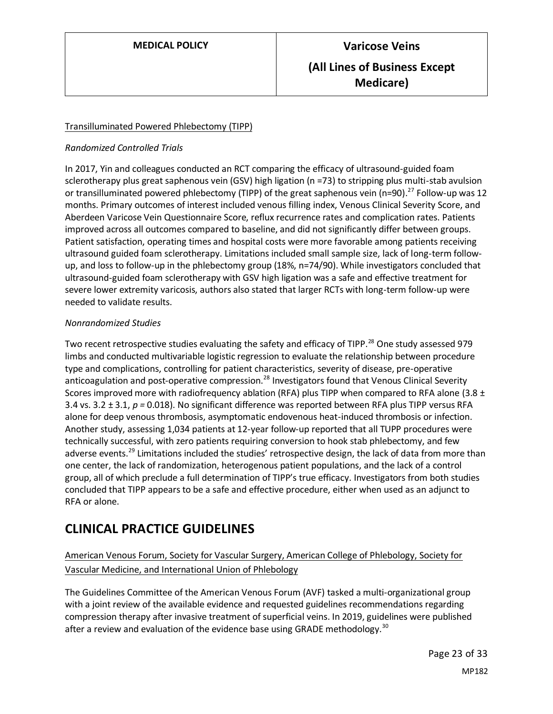### Transilluminated Powered Phlebectomy (TIPP)

#### *Randomized Controlled Trials*

In 2017, Yin and colleagues conducted an RCT comparing the efficacy of ultrasound-guided foam sclerotherapy plus great saphenous vein (GSV) high ligation (n =73) to stripping plus multi-stab avulsion or transilluminated powered phlebectomy (TIPP) of the great saphenous vein (n=90).<sup>27</sup> Follow-up was 12 months. Primary outcomes of interest included venous filling index, Venous Clinical Severity Score, and Aberdeen Varicose Vein Questionnaire Score, reflux recurrence rates and complication rates. Patients improved across all outcomes compared to baseline, and did not significantly differ between groups. Patient satisfaction, operating times and hospital costs were more favorable among patients receiving ultrasound guided foam sclerotherapy. Limitations included small sample size, lack of long-term followup, and loss to follow-up in the phlebectomy group (18%, n=74/90). While investigators concluded that ultrasound-guided foam sclerotherapy with GSV high ligation was a safe and effective treatment for severe lower extremity varicosis, authors also stated that larger RCTs with long-term follow-up were needed to validate results.

#### *Nonrandomized Studies*

Two recent retrospective studies evaluating the safety and efficacy of TIPP.<sup>28</sup> One study assessed 979 limbs and conducted multivariable logistic regression to evaluate the relationship between procedure type and complications, controlling for patient characteristics, severity of disease, pre-operative anticoagulation and post-operative compression.<sup>28</sup> Investigators found that Venous Clinical Severity Scores improved more with radiofrequency ablation (RFA) plus TIPP when compared to RFA alone (3.8 ± 3.4 vs. 3.2 ± 3.1, *p =* 0.018). No significant difference was reported between RFA plus TIPP versus RFA alone for deep venous thrombosis, asymptomatic endovenous heat-induced thrombosis or infection. Another study, assessing 1,034 patients at 12-year follow-up reported that all TUPP procedures were technically successful, with zero patients requiring conversion to hook stab phlebectomy, and few adverse events.<sup>29</sup> Limitations included the studies' retrospective design, the lack of data from more than one center, the lack of randomization, heterogenous patient populations, and the lack of a control group, all of which preclude a full determination of TIPP's true efficacy. Investigators from both studies concluded that TIPP appears to be a safe and effective procedure, either when used as an adjunct to RFA or alone.

# **CLINICAL PRACTICE GUIDELINES**

## American Venous Forum, Society for Vascular Surgery, American College of Phlebology, Society for Vascular Medicine, and International Union of Phlebology

The Guidelines Committee of the American Venous Forum (AVF) tasked a multi-organizational group with a joint review of the available evidence and requested guidelines recommendations regarding compression therapy after invasive treatment of superficial veins. In 2019, guidelines were published after a review and evaluation of the evidence base using GRADE methodology.<sup>30</sup>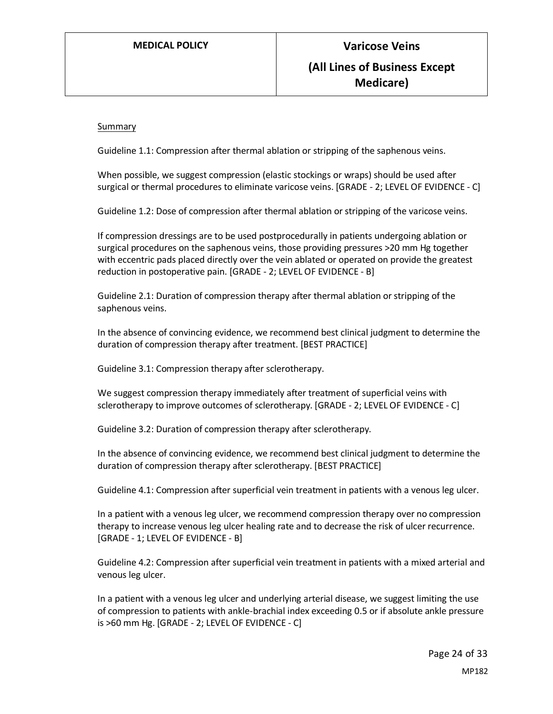#### Summary

Guideline 1.1: Compression after thermal ablation or stripping of the saphenous veins.

When possible, we suggest compression (elastic stockings or wraps) should be used after surgical or thermal procedures to eliminate varicose veins. [GRADE - 2; LEVEL OF EVIDENCE - C]

Guideline 1.2: Dose of compression after thermal ablation or stripping of the varicose veins.

If compression dressings are to be used postprocedurally in patients undergoing ablation or surgical procedures on the saphenous veins, those providing pressures >20 mm Hg together with eccentric pads placed directly over the vein ablated or operated on provide the greatest reduction in postoperative pain. [GRADE - 2; LEVEL OF EVIDENCE - B]

Guideline 2.1: Duration of compression therapy after thermal ablation or stripping of the saphenous veins.

In the absence of convincing evidence, we recommend best clinical judgment to determine the duration of compression therapy after treatment. [BEST PRACTICE]

Guideline 3.1: Compression therapy after sclerotherapy.

We suggest compression therapy immediately after treatment of superficial veins with sclerotherapy to improve outcomes of sclerotherapy. [GRADE - 2; LEVEL OF EVIDENCE - C]

Guideline 3.2: Duration of compression therapy after sclerotherapy.

In the absence of convincing evidence, we recommend best clinical judgment to determine the duration of compression therapy after sclerotherapy. [BEST PRACTICE]

Guideline 4.1: Compression after superficial vein treatment in patients with a venous leg ulcer.

In a patient with a venous leg ulcer, we recommend compression therapy over no compression therapy to increase venous leg ulcer healing rate and to decrease the risk of ulcer recurrence. [GRADE - 1; LEVEL OF EVIDENCE - B]

Guideline 4.2: Compression after superficial vein treatment in patients with a mixed arterial and venous leg ulcer.

In a patient with a venous leg ulcer and underlying arterial disease, we suggest limiting the use of compression to patients with ankle-brachial index exceeding 0.5 or if absolute ankle pressure is >60 mm Hg. [GRADE - 2; LEVEL OF EVIDENCE - C]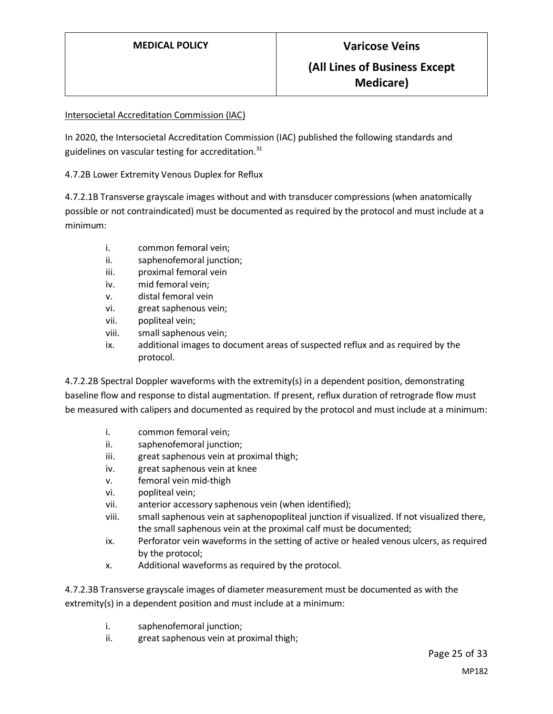#### Intersocietal Accreditation Commission (IAC)

In 2020, the Intersocietal Accreditation Commission (IAC) published the following standards and guidelines on vascular testing for accreditation. $31$ 

4.7.2B Lower Extremity Venous Duplex for Reflux

4.7.2.1B Transverse grayscale images without and with transducer compressions (when anatomically possible or not contraindicated) must be documented as required by the protocol and must include at a minimum:

- i. common femoral vein;
- ii. saphenofemoral junction;
- iii. proximal femoral vein
- iv. mid femoral vein;
- v. distal femoral vein
- vi. great saphenous vein;
- vii. popliteal vein;
- viii. small saphenous vein;
- ix. additional images to document areas of suspected reflux and as required by the protocol.

4.7.2.2B Spectral Doppler waveforms with the extremity(s) in a dependent position, demonstrating baseline flow and response to distal augmentation. If present, reflux duration of retrograde flow must be measured with calipers and documented as required by the protocol and must include at a minimum:

- i. common femoral vein;
- ii. saphenofemoral junction;
- iii. great saphenous vein at proximal thigh;
- iv. great saphenous vein at knee
- v. femoral vein mid-thigh
- vi. popliteal vein;
- vii. anterior accessory saphenous vein (when identified);
- viii. small saphenous vein at saphenopopliteal junction if visualized. If not visualized there, the small saphenous vein at the proximal calf must be documented;
- ix. Perforator vein waveforms in the setting of active or healed venous ulcers, as required by the protocol;
- x. Additional waveforms as required by the protocol.

4.7.2.3B Transverse grayscale images of diameter measurement must be documented as with the extremity(s) in a dependent position and must include at a minimum:

- i. saphenofemoral junction;
- ii. great saphenous vein at proximal thigh;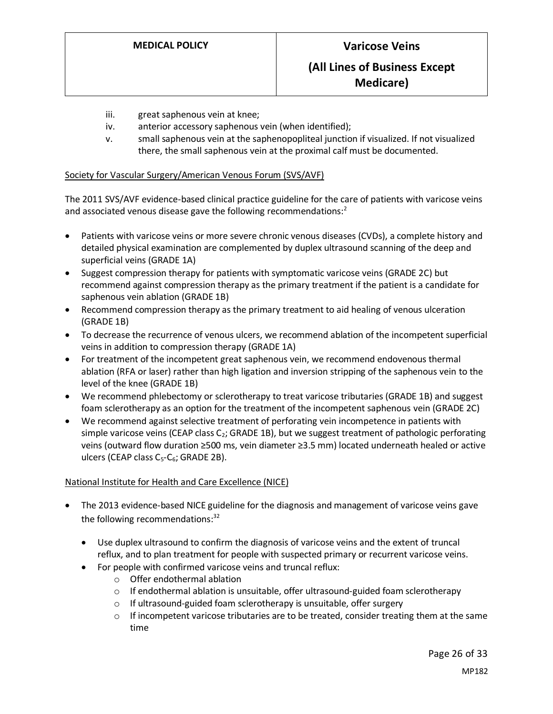- iii. great saphenous vein at knee;
- iv. anterior accessory saphenous vein (when identified);
- v. small saphenous vein at the saphenopopliteal junction if visualized. If not visualized there, the small saphenous vein at the proximal calf must be documented.

#### Society for Vascular Surgery/American Venous Forum (SVS/AVF)

The 2011 SVS/AVF evidence-based clinical practice guideline for the care of patients with varicose veins and associated venous disease gave the following recommendations:<sup>2</sup>

- Patients with varicose veins or more severe chronic venous diseases (CVDs), a complete history and detailed physical examination are complemented by duplex ultrasound scanning of the deep and superficial veins (GRADE 1A)
- Suggest compression therapy for patients with symptomatic varicose veins (GRADE 2C) but recommend against compression therapy as the primary treatment if the patient is a candidate for saphenous vein ablation (GRADE 1B)
- Recommend compression therapy as the primary treatment to aid healing of venous ulceration (GRADE 1B)
- To decrease the recurrence of venous ulcers, we recommend ablation of the incompetent superficial veins in addition to compression therapy (GRADE 1A)
- For treatment of the incompetent great saphenous vein, we recommend endovenous thermal ablation (RFA or laser) rather than high ligation and inversion stripping of the saphenous vein to the level of the knee (GRADE 1B)
- We recommend phlebectomy or sclerotherapy to treat varicose tributaries (GRADE 1B) and suggest foam sclerotherapy as an option for the treatment of the incompetent saphenous vein (GRADE 2C)
- We recommend against selective treatment of perforating vein incompetence in patients with simple varicose veins (CEAP class  $C_2$ ; GRADE 1B), but we suggest treatment of pathologic perforating veins (outward flow duration ≥500 ms, vein diameter ≥3.5 mm) located underneath healed or active ulcers (CEAP class  $C_5$ - $C_6$ ; GRADE 2B).

#### National Institute for Health and Care Excellence (NICE)

- The 2013 evidence-based NICE guideline for the diagnosis and management of varicose veins gave the following recommendations:<sup>32</sup>
	- Use duplex ultrasound to confirm the diagnosis of varicose veins and the extent of truncal reflux, and to plan treatment for people with suspected primary or recurrent varicose veins.
	- For people with confirmed varicose veins and truncal reflux:
		- o Offer endothermal ablation
		- $\circ$  If endothermal ablation is unsuitable, offer ultrasound-guided foam sclerotherapy
		- o If ultrasound-guided foam sclerotherapy is unsuitable, offer surgery
		- $\circ$  If incompetent varicose tributaries are to be treated, consider treating them at the same time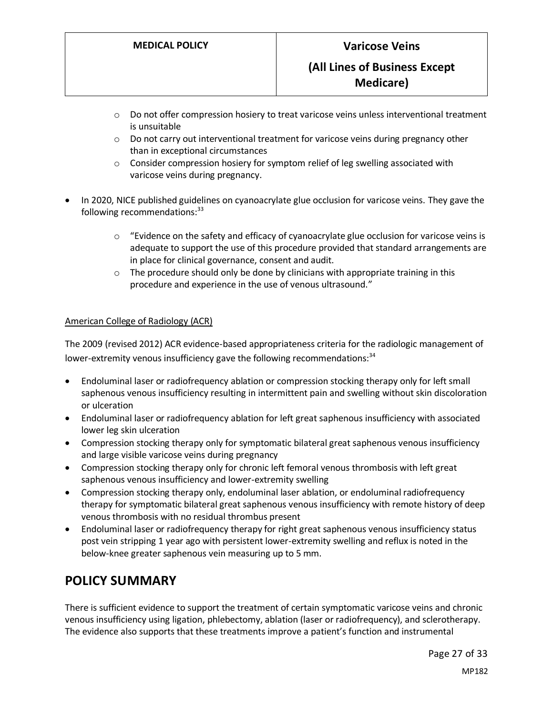- $\circ$  Do not offer compression hosiery to treat varicose veins unless interventional treatment is unsuitable
- $\circ$  Do not carry out interventional treatment for varicose veins during pregnancy other than in exceptional circumstances
- o Consider compression hosiery for symptom relief of leg swelling associated with varicose veins during pregnancy.
- In 2020, NICE published guidelines on cyanoacrylate glue occlusion for varicose veins. They gave the following recommendations: $33$ 
	- $\circ$  "Evidence on the safety and efficacy of cyanoacrylate glue occlusion for varicose veins is adequate to support the use of this procedure provided that standard arrangements are in place for clinical governance, consent and audit.
	- o The procedure should only be done by clinicians with appropriate training in this procedure and experience in the use of venous ultrasound."

#### American College of Radiology (ACR)

The 2009 (revised 2012) ACR evidence-based appropriateness criteria for the radiologic management of lower-extremity venous insufficiency gave the following recommendations:<sup>34</sup>

- Endoluminal laser or radiofrequency ablation or compression stocking therapy only for left small saphenous venous insufficiency resulting in intermittent pain and swelling without skin discoloration or ulceration
- Endoluminal laser or radiofrequency ablation for left great saphenous insufficiency with associated lower leg skin ulceration
- Compression stocking therapy only for symptomatic bilateral great saphenous venous insufficiency and large visible varicose veins during pregnancy
- Compression stocking therapy only for chronic left femoral venous thrombosis with left great saphenous venous insufficiency and lower-extremity swelling
- Compression stocking therapy only, endoluminal laser ablation, or endoluminal radiofrequency therapy for symptomatic bilateral great saphenous venous insufficiency with remote history of deep venous thrombosis with no residual thrombus present
- Endoluminal laser or radiofrequency therapy for right great saphenous venous insufficiency status post vein stripping 1 year ago with persistent lower-extremity swelling and reflux is noted in the below-knee greater saphenous vein measuring up to 5 mm.

# <span id="page-26-0"></span>**POLICY SUMMARY**

There is sufficient evidence to support the treatment of certain symptomatic varicose veins and chronic venous insufficiency using ligation, phlebectomy, ablation (laser or radiofrequency), and sclerotherapy. The evidence also supports that these treatments improve a patient's function and instrumental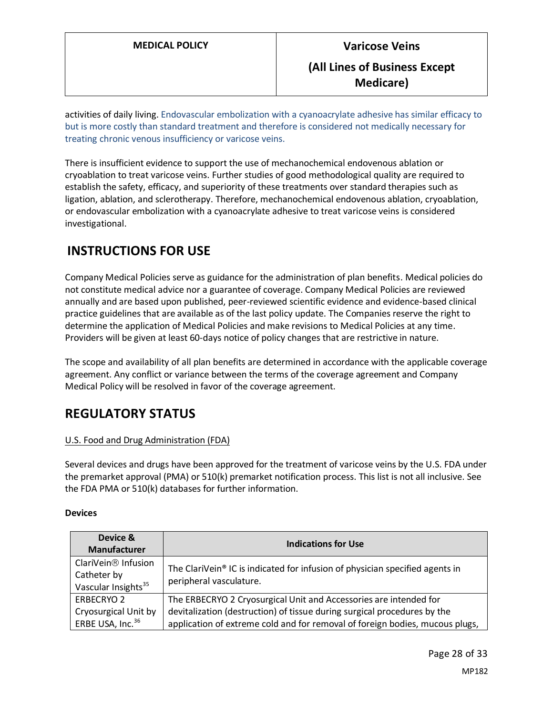activities of daily living. Endovascular embolization with a cyanoacrylate adhesive has similar efficacy to but is more costly than standard treatment and therefore is considered not medically necessary for treating chronic venous insufficiency or varicose veins.

There is insufficient evidence to support the use of mechanochemical endovenous ablation or cryoablation to treat varicose veins. Further studies of good methodological quality are required to establish the safety, efficacy, and superiority of these treatments over standard therapies such as ligation, ablation, and sclerotherapy. Therefore, mechanochemical endovenous ablation, cryoablation, or endovascular embolization with a cyanoacrylate adhesive to treat varicose veins is considered investigational.

# **INSTRUCTIONS FOR USE**

Company Medical Policies serve as guidance for the administration of plan benefits. Medical policies do not constitute medical advice nor a guarantee of coverage. Company Medical Policies are reviewed annually and are based upon published, peer-reviewed scientific evidence and evidence-based clinical practice guidelines that are available as of the last policy update. The Companies reserve the right to determine the application of Medical Policies and make revisions to Medical Policies at any time. Providers will be given at least 60-days notice of policy changes that are restrictive in nature.

The scope and availability of all plan benefits are determined in accordance with the applicable coverage agreement. Any conflict or variance between the terms of the coverage agreement and Company Medical Policy will be resolved in favor of the coverage agreement.

# **REGULATORY STATUS**

### U.S. Food and Drug Administration (FDA)

Several devices and drugs have been approved for the treatment of varicose veins by the U.S. FDA under the premarket approval (PMA) or 510(k) premarket notification process. This list is not all inclusive. See the FDA PMA or 510(k) databases for further information.

### **Devices**

| Device &<br>Manufacturer                                                          | <b>Indications for Use</b>                                                                                                                                                                                                    |  |  |
|-----------------------------------------------------------------------------------|-------------------------------------------------------------------------------------------------------------------------------------------------------------------------------------------------------------------------------|--|--|
| ClariVein <sup>®</sup> Infusion<br>Catheter by<br>Vascular Insights <sup>35</sup> | The ClariVein® IC is indicated for infusion of physician specified agents in<br>peripheral vasculature.                                                                                                                       |  |  |
| <b>ERBECRYO 2</b><br>Cryosurgical Unit by<br>ERBE USA, Inc. <sup>36</sup>         | The ERBECRYO 2 Cryosurgical Unit and Accessories are intended for<br>devitalization (destruction) of tissue during surgical procedures by the<br>application of extreme cold and for removal of foreign bodies, mucous plugs, |  |  |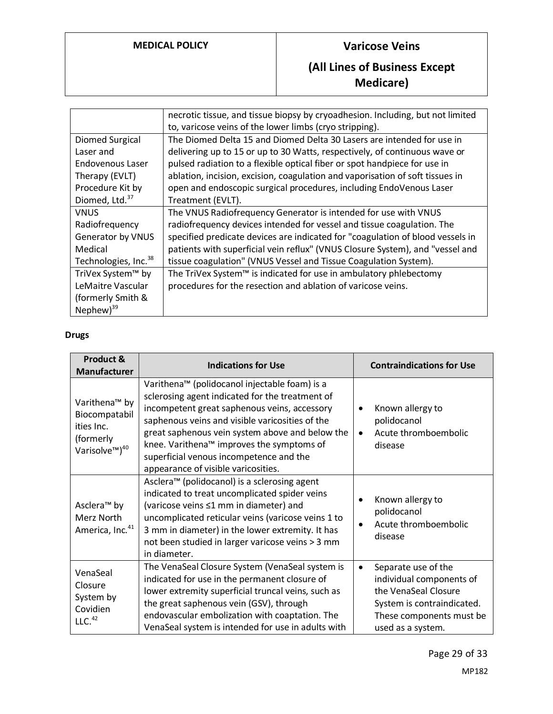# **MEDICAL POLICY Varicose Veins**

# **(All Lines of Business Except Medicare)**

|                                  | necrotic tissue, and tissue biopsy by cryoadhesion. Including, but not limited<br>to, varicose veins of the lower limbs (cryo stripping). |
|----------------------------------|-------------------------------------------------------------------------------------------------------------------------------------------|
| Diomed Surgical                  | The Diomed Delta 15 and Diomed Delta 30 Lasers are intended for use in                                                                    |
| Laser and                        | delivering up to 15 or up to 30 Watts, respectively, of continuous wave or                                                                |
| Endovenous Laser                 | pulsed radiation to a flexible optical fiber or spot handpiece for use in                                                                 |
| Therapy (EVLT)                   | ablation, incision, excision, coagulation and vaporisation of soft tissues in                                                             |
| Procedure Kit by                 | open and endoscopic surgical procedures, including EndoVenous Laser                                                                       |
| Diomed, Ltd. <sup>37</sup>       | Treatment (EVLT).                                                                                                                         |
| VNUS                             | The VNUS Radiofrequency Generator is intended for use with VNUS                                                                           |
| Radiofrequency                   | radiofrequency devices intended for vessel and tissue coagulation. The                                                                    |
| <b>Generator by VNUS</b>         | specified predicate devices are indicated for "coagulation of blood vessels in                                                            |
| Medical                          | patients with superficial vein reflux" (VNUS Closure System), and "vessel and                                                             |
| Technologies, Inc. <sup>38</sup> | tissue coagulation" (VNUS Vessel and Tissue Coagulation System).                                                                          |
| TriVex System™ by                | The TriVex System <sup>™</sup> is indicated for use in ambulatory phlebectomy                                                             |
| LeMaitre Vascular                | procedures for the resection and ablation of varicose veins.                                                                              |
| (formerly Smith &                |                                                                                                                                           |
| Nephew $)^{39}$                  |                                                                                                                                           |

## **Drugs**

| Product &<br>Manufacturer                                                                                       | <b>Indications for Use</b>                                                                                                                                                                                                                                                                                                                                                                        | <b>Contraindications for Use</b>                                                                                                                                    |
|-----------------------------------------------------------------------------------------------------------------|---------------------------------------------------------------------------------------------------------------------------------------------------------------------------------------------------------------------------------------------------------------------------------------------------------------------------------------------------------------------------------------------------|---------------------------------------------------------------------------------------------------------------------------------------------------------------------|
| Varithena <sup>™</sup> by<br>Biocompatabil<br>ities Inc.<br>(formerly<br>Varisolve <sup>™</sup> ) <sup>40</sup> | Varithena <sup>™</sup> (polidocanol injectable foam) is a<br>sclerosing agent indicated for the treatment of<br>incompetent great saphenous veins, accessory<br>saphenous veins and visible varicosities of the<br>great saphenous vein system above and below the<br>knee. Varithena™ improves the symptoms of<br>superficial venous incompetence and the<br>appearance of visible varicosities. | Known allergy to<br>$\bullet$<br>polidocanol<br>Acute thromboembolic<br>$\bullet$<br>disease                                                                        |
| Asclera <sup>™</sup> by<br>Merz North<br>America, Inc. <sup>41</sup>                                            | Asclera <sup>™</sup> (polidocanol) is a sclerosing agent<br>indicated to treat uncomplicated spider veins<br>(varicose veins ≤1 mm in diameter) and<br>uncomplicated reticular veins (varicose veins 1 to<br>3 mm in diameter) in the lower extremity. It has<br>not been studied in larger varicose veins > 3 mm<br>in diameter.                                                                 | Known allergy to<br>polidocanol<br>Acute thromboembolic<br>disease                                                                                                  |
| VenaSeal<br>Closure<br>System by<br>Covidien<br>LLC. <sup>42</sup>                                              | The VenaSeal Closure System (VenaSeal system is<br>indicated for use in the permanent closure of<br>lower extremity superficial truncal veins, such as<br>the great saphenous vein (GSV), through<br>endovascular embolization with coaptation. The<br>VenaSeal system is intended for use in adults with                                                                                         | Separate use of the<br>$\bullet$<br>individual components of<br>the VenaSeal Closure<br>System is contraindicated.<br>These components must be<br>used as a system. |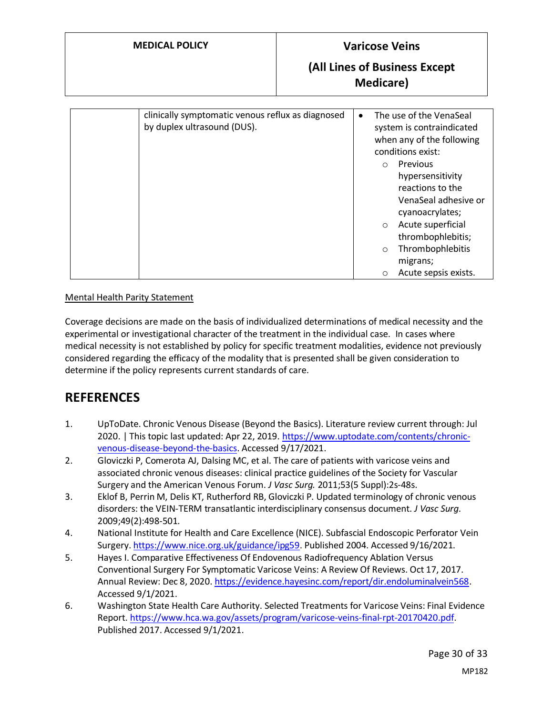# **MEDICAL POLICY Varicose Veins**

# **(All Lines of Business Except Medicare)**

| clinically symptomatic venous reflux as diagnosed<br>by duplex ultrasound (DUS). | $\bullet$ | The use of the VenaSeal<br>system is contraindicated<br>when any of the following<br>conditions exist: |                      |
|----------------------------------------------------------------------------------|-----------|--------------------------------------------------------------------------------------------------------|----------------------|
|                                                                                  |           | $\circ$                                                                                                | Previous             |
|                                                                                  |           |                                                                                                        | hypersensitivity     |
|                                                                                  |           |                                                                                                        | reactions to the     |
|                                                                                  |           |                                                                                                        | VenaSeal adhesive or |
|                                                                                  |           |                                                                                                        | cyanoacrylates;      |
|                                                                                  |           | $\circ$                                                                                                | Acute superficial    |
|                                                                                  |           |                                                                                                        | thrombophlebitis;    |
|                                                                                  |           | $\circ$                                                                                                | Thrombophlebitis     |
|                                                                                  |           |                                                                                                        | migrans;             |
|                                                                                  |           | $\circ$                                                                                                | Acute sepsis exists. |

### Mental Health Parity Statement

Coverage decisions are made on the basis of individualized determinations of medical necessity and the experimental or investigational character of the treatment in the individual case. In cases where medical necessity is not established by policy for specific treatment modalities, evidence not previously considered regarding the efficacy of the modality that is presented shall be given consideration to determine if the policy represents current standards of care.

# **REFERENCES**

- 1. UpToDate. Chronic Venous Disease (Beyond the Basics). Literature review current through: Jul 2020. | This topic last updated: Apr 22, 2019. [https://www.uptodate.com/contents/chronic](https://www.uptodate.com/contents/chronic-venous-disease-beyond-the-basics)[venous-disease-beyond-the-basics.](https://www.uptodate.com/contents/chronic-venous-disease-beyond-the-basics) Accessed 9/17/2021.
- 2. Gloviczki P, Comerota AJ, Dalsing MC, et al. The care of patients with varicose veins and associated chronic venous diseases: clinical practice guidelines of the Society for Vascular Surgery and the American Venous Forum. *J Vasc Surg.* 2011;53(5 Suppl):2s-48s.
- 3. Eklof B, Perrin M, Delis KT, Rutherford RB, Gloviczki P. Updated terminology of chronic venous disorders: the VEIN-TERM transatlantic interdisciplinary consensus document. *J Vasc Surg.*  2009;49(2):498-501.
- 4. National Institute for Health and Care Excellence (NICE). Subfascial Endoscopic Perforator Vein Surgery[. https://www.nice.org.uk/guidance/ipg59.](https://www.nice.org.uk/guidance/ipg59) Published 2004. Accessed 9/16/2021.
- 5. Hayes I. Comparative Effectiveness Of Endovenous Radiofrequency Ablation Versus Conventional Surgery For Symptomatic Varicose Veins: A Review Of Reviews. Oct 17, 2017. Annual Review: Dec 8, 2020[. https://evidence.hayesinc.com/report/dir.endoluminalvein568.](https://evidence.hayesinc.com/report/dir.endoluminalvein568) Accessed 9/1/2021.
- 6. Washington State Health Care Authority. Selected Treatments for Varicose Veins: Final Evidence Report. [https://www.hca.wa.gov/assets/program/varicose-veins-final-rpt-20170420.pdf.](https://www.hca.wa.gov/assets/program/varicose-veins-final-rpt-20170420.pdf) Published 2017. Accessed 9/1/2021.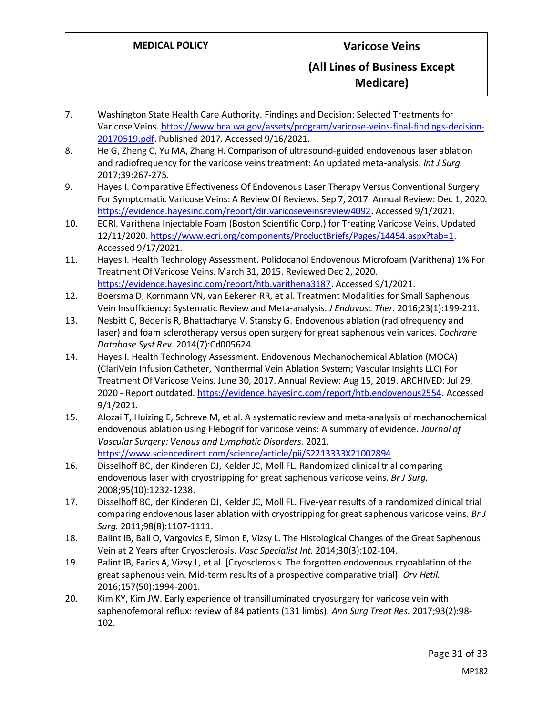- 7. Washington State Health Care Authority. Findings and Decision: Selected Treatments for Varicose Veins[. https://www.hca.wa.gov/assets/program/varicose-veins-final-findings-decision-](https://www.hca.wa.gov/assets/program/varicose-veins-final-findings-decision-20170519.pdf)[20170519.pdf.](https://www.hca.wa.gov/assets/program/varicose-veins-final-findings-decision-20170519.pdf) Published 2017. Accessed 9/16/2021.
- 8. He G, Zheng C, Yu MA, Zhang H. Comparison of ultrasound-guided endovenous laser ablation and radiofrequency for the varicose veins treatment: An updated meta-analysis. *Int J Surg.*  2017;39:267-275.
- 9. Hayes I. Comparative Effectiveness Of Endovenous Laser Therapy Versus Conventional Surgery For Symptomatic Varicose Veins: A Review Of Reviews. Sep 7, 2017. Annual Review: Dec 1, 2020. [https://evidence.hayesinc.com/report/dir.varicoseveinsreview4092.](https://evidence.hayesinc.com/report/dir.varicoseveinsreview4092) Accessed 9/1/2021.
- 10. ECRI. Varithena Injectable Foam (Boston Scientific Corp.) for Treating Varicose Veins. Updated 12/11/2020[. https://www.ecri.org/components/ProductBriefs/Pages/14454.aspx?tab=1.](https://www.ecri.org/components/ProductBriefs/Pages/14454.aspx?tab=1) Accessed 9/17/2021.
- 11. Hayes I. Health Technology Assessment. Polidocanol Endovenous Microfoam (Varithena) 1% For Treatment Of Varicose Veins. March 31, 2015. Reviewed Dec 2, 2020. [https://evidence.hayesinc.com/report/htb.varithena3187.](https://evidence.hayesinc.com/report/htb.varithena3187) Accessed 9/1/2021.
- 12. Boersma D, Kornmann VN, van Eekeren RR, et al. Treatment Modalities for Small Saphenous Vein Insufficiency: Systematic Review and Meta-analysis. *J Endovasc Ther.* 2016;23(1):199-211.
- 13. Nesbitt C, Bedenis R, Bhattacharya V, Stansby G. Endovenous ablation (radiofrequency and laser) and foam sclerotherapy versus open surgery for great saphenous vein varices. *Cochrane Database Syst Rev.* 2014(7):Cd005624.
- 14. Hayes I. Health Technology Assessment. Endovenous Mechanochemical Ablation (MOCA) (ClariVein Infusion Catheter, Nonthermal Vein Ablation System; Vascular Insights LLC) For Treatment Of Varicose Veins. June 30, 2017. Annual Review: Aug 15, 2019. ARCHIVED: Jul 29, 2020 - Report outdated. [https://evidence.hayesinc.com/report/htb.endovenous2554.](https://evidence.hayesinc.com/report/htb.endovenous2554) Accessed 9/1/2021.
- 15. Alozai T, Huizing E, Schreve M, et al. A systematic review and meta-analysis of mechanochemical endovenous ablation using Flebogrif for varicose veins: A summary of evidence. *Journal of Vascular Surgery: Venous and Lymphatic Disorders.* 2021. <https://www.sciencedirect.com/science/article/pii/S2213333X21002894>
- 16. Disselhoff BC, der Kinderen DJ, Kelder JC, Moll FL. Randomized clinical trial comparing endovenous laser with cryostripping for great saphenous varicose veins. *Br J Surg.*  2008;95(10):1232-1238.
- 17. Disselhoff BC, der Kinderen DJ, Kelder JC, Moll FL. Five-year results of a randomized clinical trial comparing endovenous laser ablation with cryostripping for great saphenous varicose veins. *Br J Surg.* 2011;98(8):1107-1111.
- 18. Balint IB, Bali O, Vargovics E, Simon E, Vizsy L. The Histological Changes of the Great Saphenous Vein at 2 Years after Cryosclerosis. *Vasc Specialist Int.* 2014;30(3):102-104.
- 19. Balint IB, Farics A, Vizsy L, et al. [Cryosclerosis. The forgotten endovenous cryoablation of the great saphenous vein. Mid-term results of a prospective comparative trial]. *Orv Hetil.*  2016;157(50):1994-2001.
- 20. Kim KY, Kim JW. Early experience of transilluminated cryosurgery for varicose vein with saphenofemoral reflux: review of 84 patients (131 limbs). *Ann Surg Treat Res.* 2017;93(2):98- 102.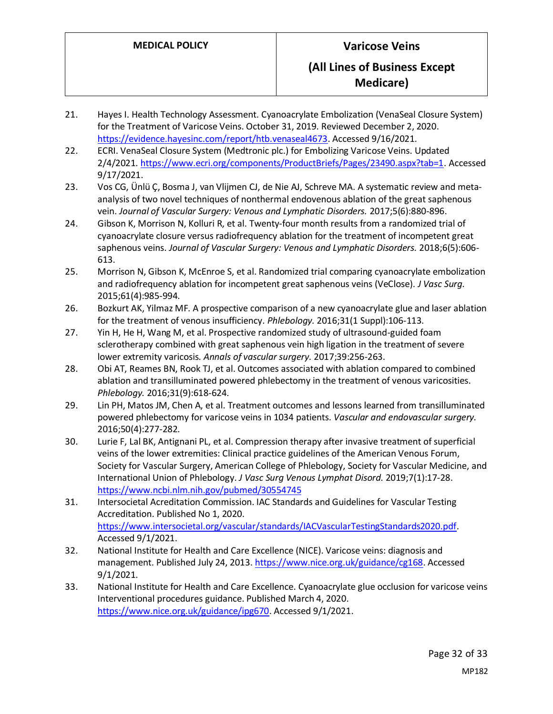- 21. Hayes I. Health Technology Assessment. Cyanoacrylate Embolization (VenaSeal Closure System) for the Treatment of Varicose Veins. October 31, 2019. Reviewed December 2, 2020. [https://evidence.hayesinc.com/report/htb.venaseal4673.](https://evidence.hayesinc.com/report/htb.venaseal4673) Accessed 9/16/2021.
- 22. ECRI. VenaSeal Closure System (Medtronic plc.) for Embolizing Varicose Veins. Updated 2/4/2021. [https://www.ecri.org/components/ProductBriefs/Pages/23490.aspx?tab=1.](https://www.ecri.org/components/ProductBriefs/Pages/23490.aspx?tab=1) Accessed 9/17/2021.
- 23. Vos CG, Ünlü Ç, Bosma J, van Vlijmen CJ, de Nie AJ, Schreve MA. A systematic review and metaanalysis of two novel techniques of nonthermal endovenous ablation of the great saphenous vein. *Journal of Vascular Surgery: Venous and Lymphatic Disorders.* 2017;5(6):880-896.
- 24. Gibson K, Morrison N, Kolluri R, et al. Twenty-four month results from a randomized trial of cyanoacrylate closure versus radiofrequency ablation for the treatment of incompetent great saphenous veins. *Journal of Vascular Surgery: Venous and Lymphatic Disorders.* 2018;6(5):606- 613.
- 25. Morrison N, Gibson K, McEnroe S, et al. Randomized trial comparing cyanoacrylate embolization and radiofrequency ablation for incompetent great saphenous veins (VeClose). *J Vasc Surg.*  2015;61(4):985-994.
- 26. Bozkurt AK, Yilmaz MF. A prospective comparison of a new cyanoacrylate glue and laser ablation for the treatment of venous insufficiency. *Phlebology.* 2016;31(1 Suppl):106-113.
- 27. Yin H, He H, Wang M, et al. Prospective randomized study of ultrasound-guided foam sclerotherapy combined with great saphenous vein high ligation in the treatment of severe lower extremity varicosis. *Annals of vascular surgery.* 2017;39:256-263.
- 28. Obi AT, Reames BN, Rook TJ, et al. Outcomes associated with ablation compared to combined ablation and transilluminated powered phlebectomy in the treatment of venous varicosities. *Phlebology.* 2016;31(9):618-624.
- 29. Lin PH, Matos JM, Chen A, et al. Treatment outcomes and lessons learned from transilluminated powered phlebectomy for varicose veins in 1034 patients. *Vascular and endovascular surgery.*  2016;50(4):277-282.
- 30. Lurie F, Lal BK, Antignani PL, et al. Compression therapy after invasive treatment of superficial veins of the lower extremities: Clinical practice guidelines of the American Venous Forum, Society for Vascular Surgery, American College of Phlebology, Society for Vascular Medicine, and International Union of Phlebology. *J Vasc Surg Venous Lymphat Disord.* 2019;7(1):17-28. <https://www.ncbi.nlm.nih.gov/pubmed/30554745>
- 31. Intersocietal Acreditation Commission. IAC Standards and Guidelines for Vascular Testing Accreditation. Published No 1, 2020. [https://www.intersocietal.org/vascular/standards/IACVascularTestingStandards2020.pdf.](https://www.intersocietal.org/vascular/standards/IACVascularTestingStandards2020.pdf) Accessed 9/1/2021.
- 32. National Institute for Health and Care Excellence (NICE). Varicose veins: diagnosis and management. Published July 24, 2013. [https://www.nice.org.uk/guidance/cg168.](https://www.nice.org.uk/guidance/cg168) Accessed 9/1/2021.
- 33. National Institute for Health and Care Excellence. Cyanoacrylate glue occlusion for varicose veins Interventional procedures guidance. Published March 4, 2020. [https://www.nice.org.uk/guidance/ipg670.](https://www.nice.org.uk/guidance/ipg670) Accessed 9/1/2021.